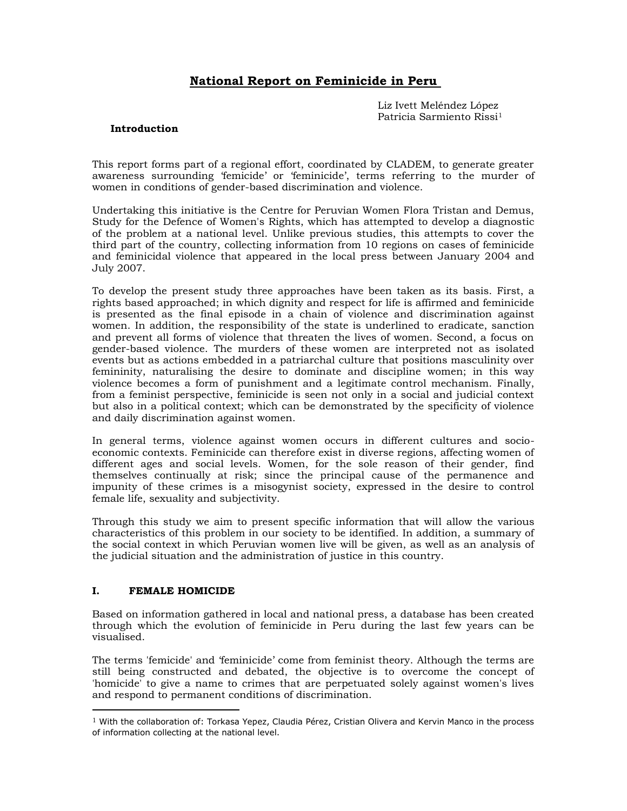# **National Report on Feminicide in Peru**

Liz Ivett Meléndez López Patricia Sarmiento Rissi<sup>1</sup>

# **Introduction**

This report forms part of a regional effort, coordinated by CLADEM, to generate greater awareness surrounding "femicide" or "feminicide", terms referring to the murder of women in conditions of gender-based discrimination and violence.

Undertaking this initiative is the Centre for Peruvian Women Flora Tristan and Demus, Study for the Defence of Women's Rights, which has attempted to develop a diagnostic of the problem at a national level. Unlike previous studies, this attempts to cover the third part of the country, collecting information from 10 regions on cases of feminicide and feminicidal violence that appeared in the local press between January 2004 and July 2007.

To develop the present study three approaches have been taken as its basis. First, a rights based approached; in which dignity and respect for life is affirmed and feminicide is presented as the final episode in a chain of violence and discrimination against women. In addition, the responsibility of the state is underlined to eradicate, sanction and prevent all forms of violence that threaten the lives of women. Second, a focus on gender-based violence. The murders of these women are interpreted not as isolated events but as actions embedded in a patriarchal culture that positions masculinity over femininity, naturalising the desire to dominate and discipline women; in this way violence becomes a form of punishment and a legitimate control mechanism. Finally, from a feminist perspective, feminicide is seen not only in a social and judicial context but also in a political context; which can be demonstrated by the specificity of violence and daily discrimination against women.

In general terms, violence against women occurs in different cultures and socioeconomic contexts. Feminicide can therefore exist in diverse regions, affecting women of different ages and social levels. Women, for the sole reason of their gender, find themselves continually at risk; since the principal cause of the permanence and impunity of these crimes is a misogynist society, expressed in the desire to control female life, sexuality and subjectivity.

Through this study we aim to present specific information that will allow the various characteristics of this problem in our society to be identified. In addition, a summary of the social context in which Peruvian women live will be given, as well as an analysis of the judicial situation and the administration of justice in this country.

# **I. FEMALE HOMICIDE**

 $\overline{a}$ 

Based on information gathered in local and national press, a database has been created through which the evolution of feminicide in Peru during the last few years can be visualised.

The terms 'femicide' and "feminicide" come from feminist theory. Although the terms are still being constructed and debated, the objective is to overcome the concept of 'homicide' to give a name to crimes that are perpetuated solely against women's lives and respond to permanent conditions of discrimination.

 $1$  With the collaboration of: Torkasa Yepez, Claudia Pérez, Cristian Olivera and Kervin Manco in the process of information collecting at the national level.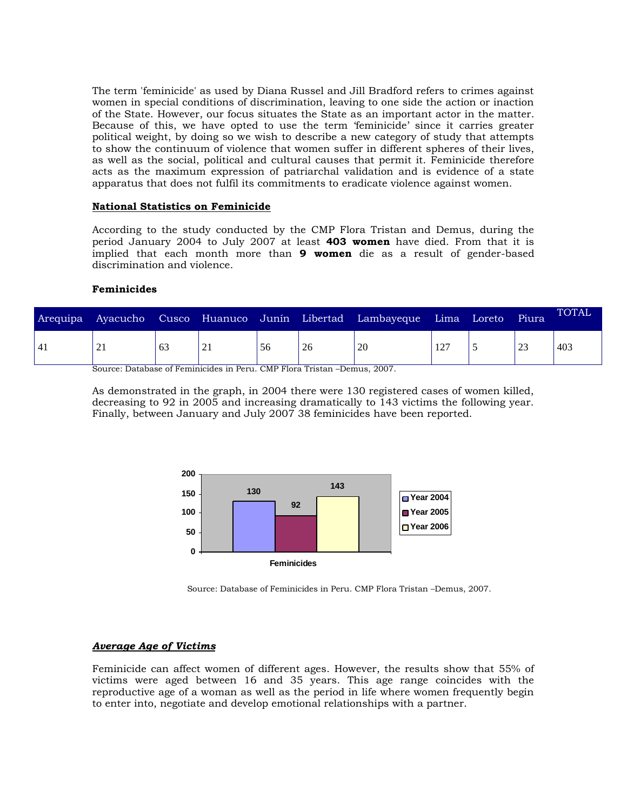The term 'feminicide' as used by Diana Russel and Jill Bradford refers to crimes against women in special conditions of discrimination, leaving to one side the action or inaction of the State. However, our focus situates the State as an important actor in the matter. Because of this, we have opted to use the term "feminicide" since it carries greater political weight, by doing so we wish to describe a new category of study that attempts to show the continuum of violence that women suffer in different spheres of their lives, as well as the social, political and cultural causes that permit it. Feminicide therefore acts as the maximum expression of patriarchal validation and is evidence of a state apparatus that does not fulfil its commitments to eradicate violence against women.

# **National Statistics on Feminicide**

According to the study conducted by the CMP Flora Tristan and Demus, during the period January 2004 to July 2007 at least **403 women** have died. From that it is implied that each month more than **9 women** die as a result of gender-based discrimination and violence.

## **Feminicides**

| 403<br>23<br>20<br>127<br>63<br>56<br>26<br>$\overline{4}$<br>21<br>∠⊥ | Arequipa | Ayacucho | Cusco Huanuco Junín Libertad |  | Lambayeque | Lima | Loreto | Piura | <b>TOTAL</b> |
|------------------------------------------------------------------------|----------|----------|------------------------------|--|------------|------|--------|-------|--------------|
|                                                                        |          |          |                              |  |            |      |        |       |              |

Source: Database of Feminicides in Peru. CMP Flora Tristan –Demus, 2007.

As demonstrated in the graph, in 2004 there were 130 registered cases of women killed, decreasing to 92 in 2005 and increasing dramatically to 143 victims the following year. Finally, between January and July 2007 38 feminicides have been reported.



Source: Database of Feminicides in Peru. CMP Flora Tristan –Demus, 2007.

# *Average Age of Victims*

Feminicide can affect women of different ages. However, the results show that 55% of victims were aged between 16 and 35 years. This age range coincides with the reproductive age of a woman as well as the period in life where women frequently begin to enter into, negotiate and develop emotional relationships with a partner.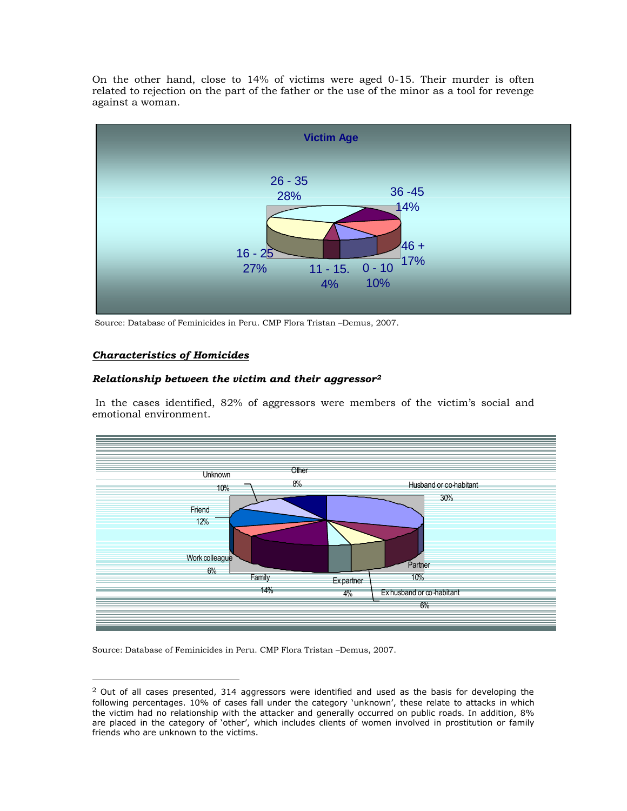On the other hand, close to 14% of victims were aged 0-15. Their murder is often related to rejection on the part of the father or the use of the minor as a tool for revenge against a woman.



Source: Database of Feminicides in Peru. CMP Flora Tristan –Demus, 2007.

# *Characteristics of Homicides*

 $\overline{a}$ 

# *Relationship between the victim and their aggressor<sup>2</sup>*

In the cases identified, 82% of aggressors were members of the victim's social and emotional environment.



Source: Database of Feminicides in Peru. CMP Flora Tristan –Demus, 2007.

 $2$  Out of all cases presented, 314 aggressors were identified and used as the basis for developing the following percentages. 10% of cases fall under the category 'unknown', these relate to attacks in which the victim had no relationship with the attacker and generally occurred on public roads. In addition, 8% are placed in the category of "other", which includes clients of women involved in prostitution or family friends who are unknown to the victims.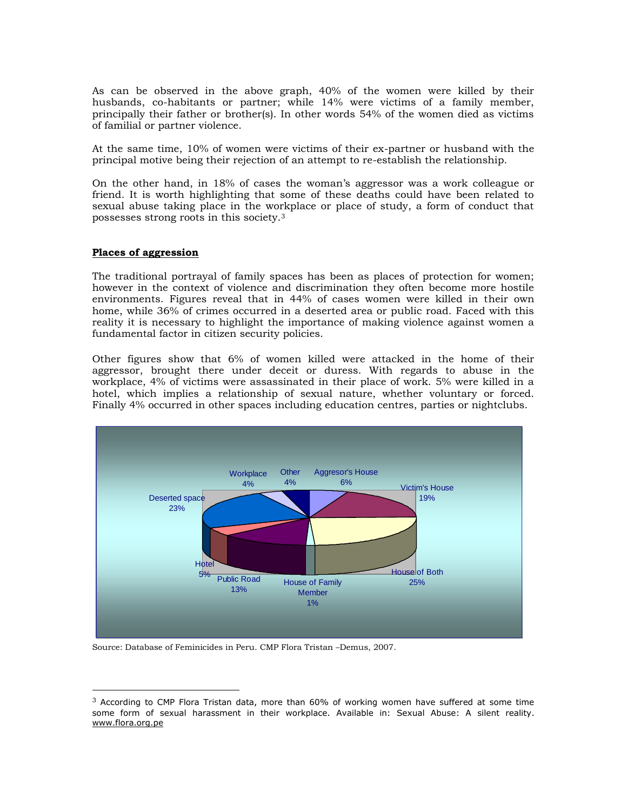As can be observed in the above graph, 40% of the women were killed by their husbands, co-habitants or partner; while 14% were victims of a family member, principally their father or brother(s). In other words 54% of the women died as victims of familial or partner violence.

At the same time, 10% of women were victims of their ex-partner or husband with the principal motive being their rejection of an attempt to re-establish the relationship.

On the other hand, in 18% of cases the woman"s aggressor was a work colleague or friend. It is worth highlighting that some of these deaths could have been related to sexual abuse taking place in the workplace or place of study, a form of conduct that possesses strong roots in this society.<sup>3</sup>

# **Places of aggression**

 $\overline{a}$ 

The traditional portrayal of family spaces has been as places of protection for women; however in the context of violence and discrimination they often become more hostile environments. Figures reveal that in 44% of cases women were killed in their own home, while 36% of crimes occurred in a deserted area or public road. Faced with this reality it is necessary to highlight the importance of making violence against women a fundamental factor in citizen security policies.

Other figures show that 6% of women killed were attacked in the home of their aggressor, brought there under deceit or duress. With regards to abuse in the workplace, 4% of victims were assassinated in their place of work. 5% were killed in a hotel, which implies a relationship of sexual nature, whether voluntary or forced. Finally 4% occurred in other spaces including education centres, parties or nightclubs.



Source: Database of Feminicides in Peru. CMP Flora Tristan –Demus, 2007.

 $3$  According to CMP Flora Tristan data, more than 60% of working women have suffered at some time some form of sexual harassment in their workplace. Available in: Sexual Abuse: A silent reality. [www.flora.org.pe](http://www.flora.org.pe/)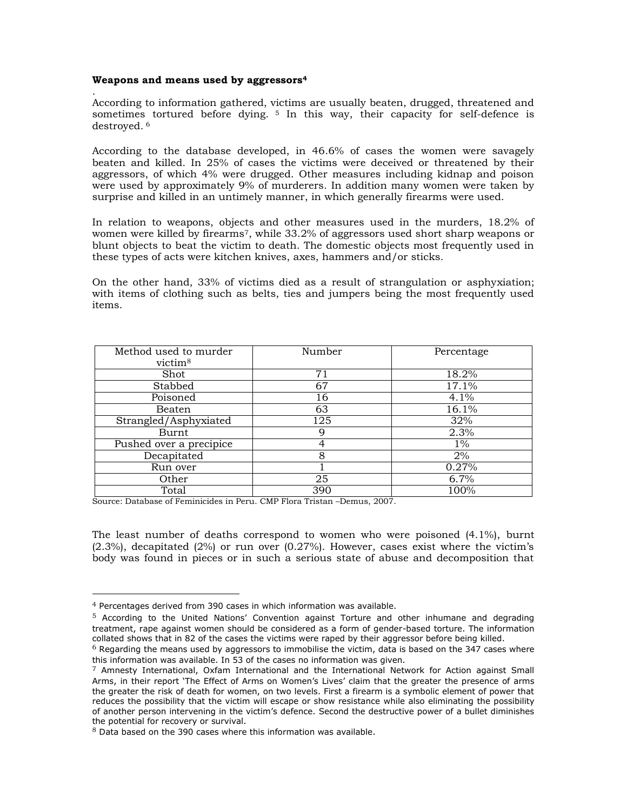# **Weapons and means used by aggressors<sup>4</sup>**

. According to information gathered, victims are usually beaten, drugged, threatened and sometimes tortured before dying. <sup>5</sup> In this way, their capacity for self-defence is destroyed. 6

According to the database developed, in 46.6% of cases the women were savagely beaten and killed. In 25% of cases the victims were deceived or threatened by their aggressors, of which 4% were drugged. Other measures including kidnap and poison were used by approximately 9% of murderers. In addition many women were taken by surprise and killed in an untimely manner, in which generally firearms were used.

In relation to weapons, objects and other measures used in the murders, 18.2% of women were killed by firearms7, while 33.2% of aggressors used short sharp weapons or blunt objects to beat the victim to death. The domestic objects most frequently used in these types of acts were kitchen knives, axes, hammers and/or sticks.

On the other hand, 33% of victims died as a result of strangulation or asphyxiation; with items of clothing such as belts, ties and jumpers being the most frequently used items.

| Method used to murder<br>victim <sup>8</sup> | Number | Percentage |
|----------------------------------------------|--------|------------|
| Shot                                         | 71     | 18.2%      |
| Stabbed                                      | 67     | 17.1%      |
| Poisoned                                     | 16     | 4.1%       |
| Beaten                                       | 63     | 16.1%      |
| Strangled/Asphyxiated                        | 125    | 32%        |
| Burnt                                        | 9      | 2.3%       |
| Pushed over a precipice                      | 4      | $1\%$      |
| Decapitated                                  | 8      | 2%         |
| Run over                                     |        | 0.27%      |
| Other                                        | 25     | 6.7%       |
| Total                                        | 390    | 100%       |

Source: Database of Feminicides in Peru. CMP Flora Tristan –Demus, 2007.

The least number of deaths correspond to women who were poisoned (4.1%), burnt (2.3%), decapitated (2%) or run over (0.27%). However, cases exist where the victim"s body was found in pieces or in such a serious state of abuse and decomposition that

<sup>4</sup> Percentages derived from 390 cases in which information was available.

 $5$  According to the United Nations' Convention against Torture and other inhumane and degrading treatment, rape against women should be considered as a form of gender-based torture. The information collated shows that in 82 of the cases the victims were raped by their aggressor before being killed.

 $6$  Regarding the means used by aggressors to immobilise the victim, data is based on the 347 cases where this information was available. In 53 of the cases no information was given.

 $7$  Amnesty International, Oxfam International and the International Network for Action against Small Arms, in their report "The Effect of Arms on Women"s Lives" claim that the greater the presence of arms the greater the risk of death for women, on two levels. First a firearm is a symbolic element of power that reduces the possibility that the victim will escape or show resistance while also eliminating the possibility of another person intervening in the victim"s defence. Second the destructive power of a bullet diminishes the potential for recovery or survival.

 $8$  Data based on the 390 cases where this information was available.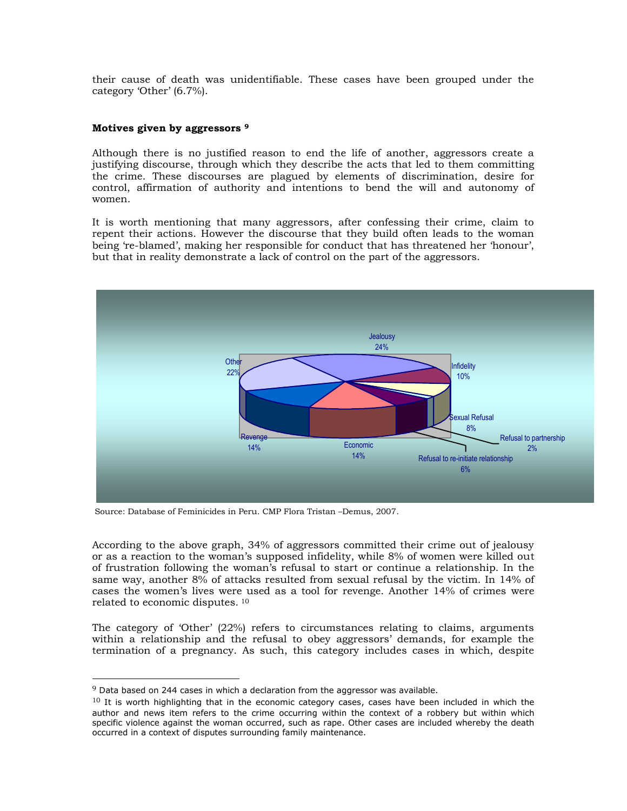their cause of death was unidentifiable. These cases have been grouped under the category 'Other' (6.7%).

# **Motives given by aggressors <sup>9</sup>**

Although there is no justified reason to end the life of another, aggressors create a justifying discourse, through which they describe the acts that led to them committing the crime. These discourses are plagued by elements of discrimination, desire for control, affirmation of authority and intentions to bend the will and autonomy of women.

It is worth mentioning that many aggressors, after confessing their crime, claim to repent their actions. However the discourse that they build often leads to the woman being "re-blamed", making her responsible for conduct that has threatened her "honour", but that in reality demonstrate a lack of control on the part of the aggressors.



Source: Database of Feminicides in Peru. CMP Flora Tristan –Demus, 2007.

According to the above graph, 34% of aggressors committed their crime out of jealousy or as a reaction to the woman"s supposed infidelity, while 8% of women were killed out of frustration following the woman"s refusal to start or continue a relationship. In the same way, another 8% of attacks resulted from sexual refusal by the victim. In 14% of cases the women"s lives were used as a tool for revenge. Another 14% of crimes were related to economic disputes. <sup>10</sup>

The category of 'Other' (22%) refers to circumstances relating to claims, arguments within a relationship and the refusal to obey aggressors" demands, for example the termination of a pregnancy. As such, this category includes cases in which, despite

 $9$  Data based on 244 cases in which a declaration from the aggressor was available.

<sup>&</sup>lt;sup>10</sup> It is worth highlighting that in the economic category cases, cases have been included in which the author and news item refers to the crime occurring within the context of a robbery but within which specific violence against the woman occurred, such as rape. Other cases are included whereby the death occurred in a context of disputes surrounding family maintenance.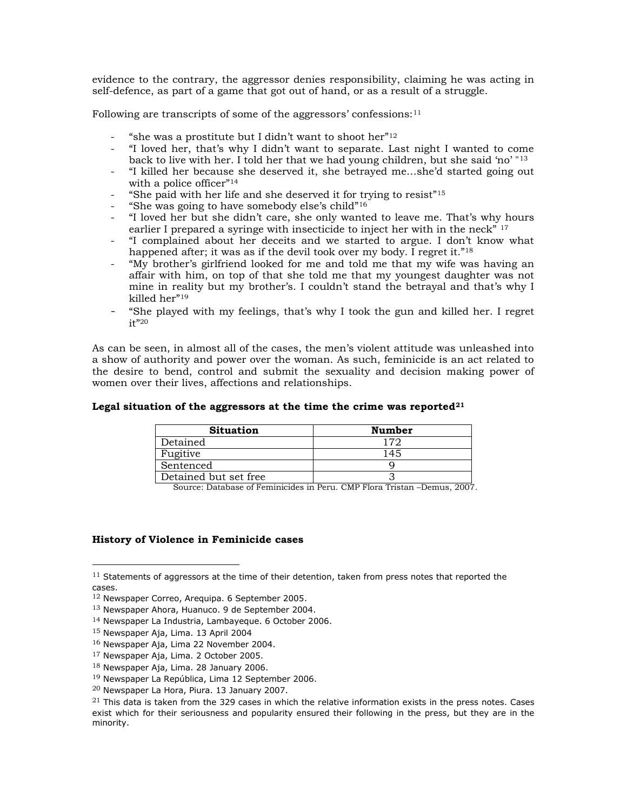evidence to the contrary, the aggressor denies responsibility, claiming he was acting in self-defence, as part of a game that got out of hand, or as a result of a struggle.

Following are transcripts of some of the aggressors' confessions: $11$ 

- "she was a prostitute but I didn't want to shoot her" $12$
- "I loved her, that"s why I didn"t want to separate. Last night I wanted to come back to live with her. I told her that we had young children, but she said "no" "<sup>13</sup>
- "I killed her because she deserved it, she betrayed me…she"d started going out with a police officer"<sup>14</sup>
- "She paid with her life and she deserved it for trying to resist"<sup>15</sup>
- "She was going to have somebody else's child" $16$
- "I loved her but she didn"t care, she only wanted to leave me. That"s why hours earlier I prepared a syringe with insecticide to inject her with in the neck" <sup>17</sup>
- "I complained about her deceits and we started to argue. I don"t know what happened after; it was as if the devil took over my body. I regret it."<sup>18</sup>
- "My brother"s girlfriend looked for me and told me that my wife was having an affair with him, on top of that she told me that my youngest daughter was not mine in reality but my brother's. I couldn't stand the betrayal and that's why I killed her"<sup>19</sup>
- "She played with my feelings, that"s why I took the gun and killed her. I regret it"<sup>20</sup>

As can be seen, in almost all of the cases, the men"s violent attitude was unleashed into a show of authority and power over the woman. As such, feminicide is an act related to the desire to bend, control and submit the sexuality and decision making power of women over their lives, affections and relationships.

# **Legal situation of the aggressors at the time the crime was reported<sup>21</sup>**

| <b>Situation</b>      | <b>Number</b> |
|-----------------------|---------------|
| Detained              | 170           |
| Fugitive              | 145           |
| Sentenced             |               |
| Detained but set free |               |

Source: Database of Feminicides in Peru. CMP Flora Tristan –Demus, 2007.

# **History of Violence in Feminicide cases**

 $11$  Statements of aggressors at the time of their detention, taken from press notes that reported the cases.

<sup>12</sup> Newspaper Correo, Arequipa. 6 September 2005.

<sup>13</sup> Newspaper Ahora, Huanuco. 9 de September 2004.

<sup>14</sup> Newspaper La Industria, Lambayeque. 6 October 2006.

<sup>15</sup> Newspaper Aja, Lima. 13 April 2004

<sup>16</sup> Newspaper Aja, Lima 22 November 2004.

<sup>17</sup> Newspaper Aja, Lima. 2 October 2005.

<sup>18</sup> Newspaper Aja, Lima. 28 January 2006.

<sup>19</sup> Newspaper La República, Lima 12 September 2006.

<sup>20</sup> Newspaper La Hora, Piura. 13 January 2007.

 $^{21}$  This data is taken from the 329 cases in which the relative information exists in the press notes. Cases exist which for their seriousness and popularity ensured their following in the press, but they are in the minority.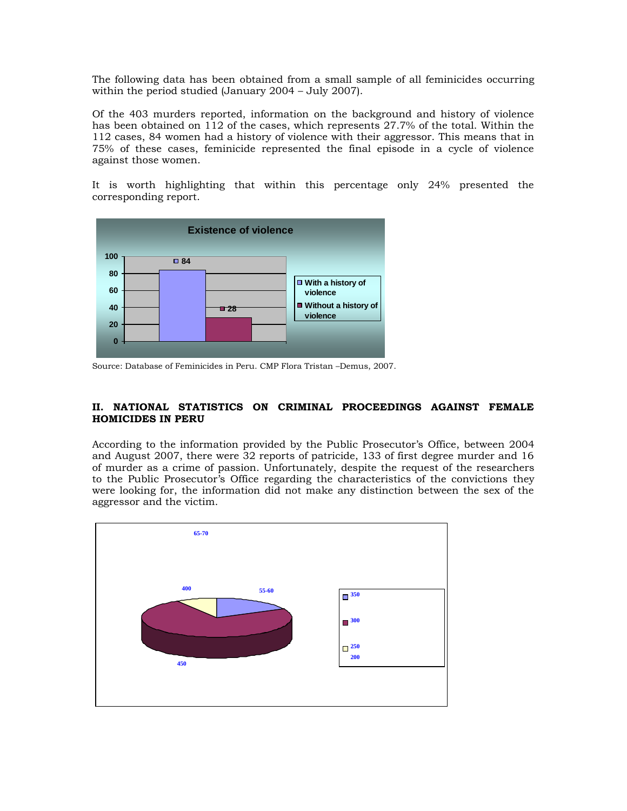The following data has been obtained from a small sample of all feminicides occurring within the period studied (January 2004 – July 2007).

Of the 403 murders reported, information on the background and history of violence has been obtained on 112 of the cases, which represents 27.7% of the total. Within the 112 cases, 84 women had a history of violence with their aggressor. This means that in 75% of these cases, feminicide represented the final episode in a cycle of violence against those women.

It is worth highlighting that within this percentage only 24% presented the corresponding report.



Source: Database of Feminicides in Peru. CMP Flora Tristan –Demus, 2007.

# **II. NATIONAL STATISTICS ON CRIMINAL PROCEEDINGS AGAINST FEMALE HOMICIDES IN PERU**

According to the information provided by the Public Prosecutor's Office, between 2004 and August 2007, there were 32 reports of patricide, 133 of first degree murder and 16 of murder as a crime of passion. Unfortunately, despite the request of the researchers to the Public Prosecutor"s Office regarding the characteristics of the convictions they were looking for, the information did not make any distinction between the sex of the aggressor and the victim.

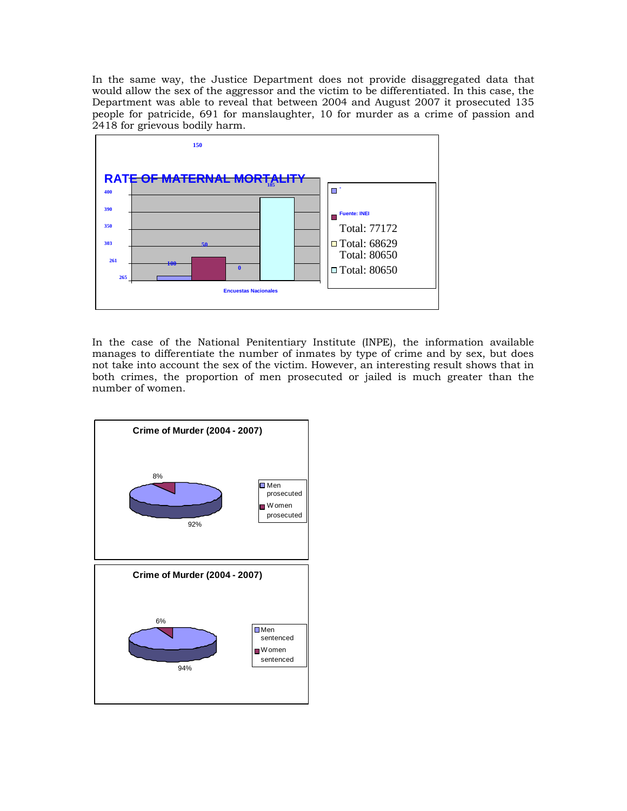In the same way, the Justice Department does not provide disaggregated data that would allow the sex of the aggressor and the victim to be differentiated. In this case, the Department was able to reveal that between 2004 and August 2007 it prosecuted 135 people for patricide, 691 for manslaughter, 10 for murder as a crime of passion and 2418 for grievous bodily harm.



In the case of the National Penitentiary Institute (INPE), the information available manages to differentiate the number of inmates by type of crime and by sex, but does not take into account the sex of the victim. However, an interesting result shows that in both crimes, the proportion of men prosecuted or jailed is much greater than the number of women.

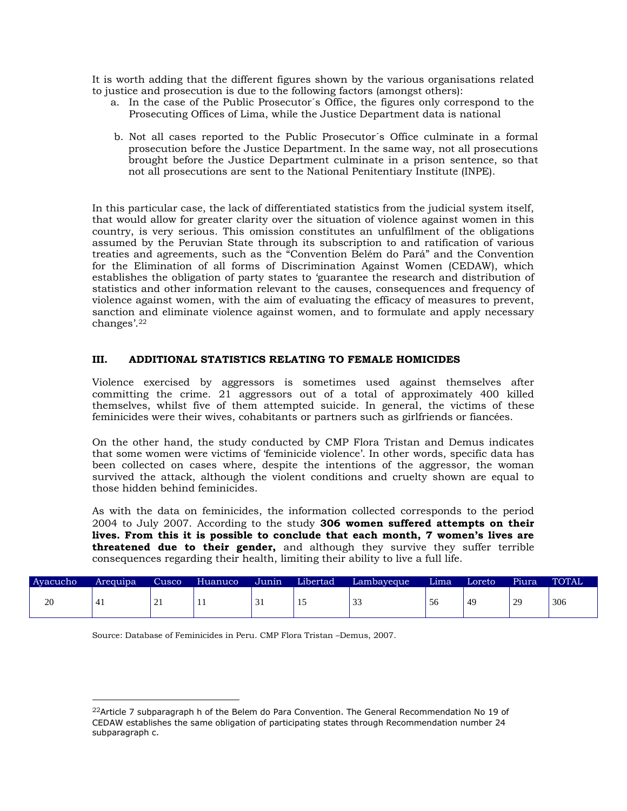It is worth adding that the different figures shown by the various organisations related to justice and prosecution is due to the following factors (amongst others):

- a. In the case of the Public Prosecutor´s Office, the figures only correspond to the Prosecuting Offices of Lima, while the Justice Department data is national
- b. Not all cases reported to the Public Prosecutor´s Office culminate in a formal prosecution before the Justice Department. In the same way, not all prosecutions brought before the Justice Department culminate in a prison sentence, so that not all prosecutions are sent to the National Penitentiary Institute (INPE).

In this particular case, the lack of differentiated statistics from the judicial system itself, that would allow for greater clarity over the situation of violence against women in this country, is very serious. This omission constitutes an unfulfilment of the obligations assumed by the Peruvian State through its subscription to and ratification of various treaties and agreements, such as the "Convention Belém do Pará" and the Convention for the Elimination of all forms of Discrimination Against Women (CEDAW), which establishes the obligation of party states to "guarantee the research and distribution of statistics and other information relevant to the causes, consequences and frequency of violence against women, with the aim of evaluating the efficacy of measures to prevent, sanction and eliminate violence against women, and to formulate and apply necessary  $changes'.22$ 

# **III. ADDITIONAL STATISTICS RELATING TO FEMALE HOMICIDES**

Violence exercised by aggressors is sometimes used against themselves after committing the crime. 21 aggressors out of a total of approximately 400 killed themselves, whilst five of them attempted suicide. In general, the victims of these feminicides were their wives, cohabitants or partners such as girlfriends or fiancées.

On the other hand, the study conducted by CMP Flora Tristan and Demus indicates that some women were victims of "feminicide violence". In other words, specific data has been collected on cases where, despite the intentions of the aggressor, the woman survived the attack, although the violent conditions and cruelty shown are equal to those hidden behind feminicides.

As with the data on feminicides, the information collected corresponds to the period 2004 to July 2007. According to the study **306 women suffered attempts on their lives. From this it is possible to conclude that each month, 7 women's lives are threatened due to their gender,** and although they survive they suffer terrible consequences regarding their health, limiting their ability to live a full life.

| Ayacucho | Areguipa | Cusco         | Huanuco | Junín | Libertad | Lambayeque    | Lima | Loreto | Piura | <b>TOTAL</b> |
|----------|----------|---------------|---------|-------|----------|---------------|------|--------|-------|--------------|
| 20       |          | $\sim$<br>- 1 | -1-1    | JІ    |          | $\sim$<br>ر ر | 56   | 49     | 29    | 306          |

Source: Database of Feminicides in Peru. CMP Flora Tristan –Demus, 2007.

<sup>&</sup>lt;sup>22</sup>Article 7 subparagraph h of the Belem do Para Convention. The General Recommendation No 19 of CEDAW establishes the same obligation of participating states through Recommendation number 24 subparagraph c.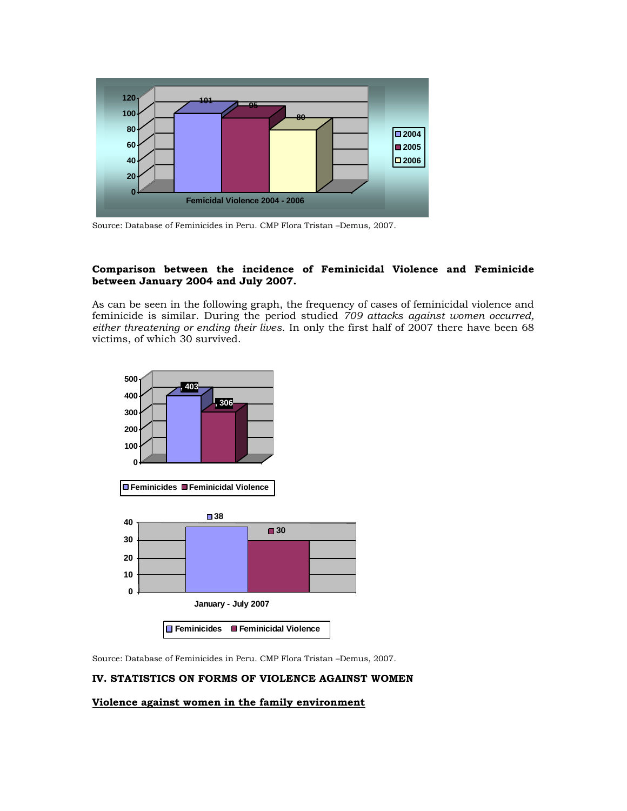

Source: Database of Feminicides in Peru. CMP Flora Tristan –Demus, 2007.

# **Comparison between the incidence of Feminicidal Violence and Feminicide between January 2004 and July 2007.**

As can be seen in the following graph, the frequency of cases of feminicidal violence and feminicide is similar. During the period studied *709 attacks against women occurred, either threatening or ending their lives*. In only the first half of 2007 there have been 68 victims, of which 30 survived.



Source: Database of Feminicides in Peru. CMP Flora Tristan –Demus, 2007.

# **IV. STATISTICS ON FORMS OF VIOLENCE AGAINST WOMEN**

## **Violence against women in the family environment**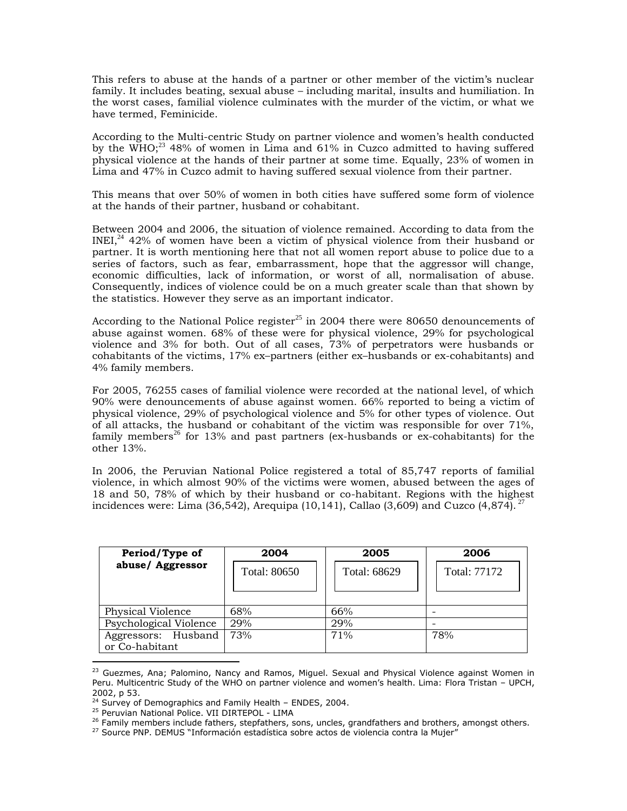This refers to abuse at the hands of a partner or other member of the victim"s nuclear family. It includes beating, sexual abuse – including marital, insults and humiliation. In the worst cases, familial violence culminates with the murder of the victim, or what we have termed, Feminicide.

According to the Multi-centric Study on partner violence and women"s health conducted by the WHO;<sup>23</sup> 48% of women in Lima and  $61\%$  in Cuzco admitted to having suffered physical violence at the hands of their partner at some time. Equally, 23% of women in Lima and 47% in Cuzco admit to having suffered sexual violence from their partner.

This means that over 50% of women in both cities have suffered some form of violence at the hands of their partner, husband or cohabitant.

Between 2004 and 2006, the situation of violence remained. According to data from the  $INEI<sub>1</sub><sup>24</sup> 42%$  of women have been a victim of physical violence from their husband or partner. It is worth mentioning here that not all women report abuse to police due to a series of factors, such as fear, embarrassment, hope that the aggressor will change, economic difficulties, lack of information, or worst of all, normalisation of abuse. Consequently, indices of violence could be on a much greater scale than that shown by the statistics. However they serve as an important indicator.

According to the National Police register<sup>25</sup> in 2004 there were 80650 denouncements of abuse against women. 68% of these were for physical violence, 29% for psychological violence and 3% for both. Out of all cases, 73% of perpetrators were husbands or cohabitants of the victims, 17% ex–partners (either ex–husbands or ex-cohabitants) and 4% family members.

For 2005, 76255 cases of familial violence were recorded at the national level, of which 90% were denouncements of abuse against women. 66% reported to being a victim of physical violence, 29% of psychological violence and 5% for other types of violence. Out of all attacks, the husband or cohabitant of the victim was responsible for over 71%, family members<sup>26</sup> for 13% and past partners (ex-husbands or ex-cohabitants) for the other 13%.

In 2006, the Peruvian National Police registered a total of 85,747 reports of familial violence, in which almost 90% of the victims were women, abused between the ages of 18 and 50, 78% of which by their husband or co-habitant. Regions with the highest incidences were: Lima (36,542), Arequipa (10,141), Callao (3,609) and Cuzco (4,874).<sup>27</sup>

| Period/Type of                        | 2004         | 2005         | 2006         |
|---------------------------------------|--------------|--------------|--------------|
| abuse/ Aggressor                      | Total: 80650 | Total: 68629 | Total: 77172 |
| Physical Violence                     | 68%          | 66%          |              |
| Psychological Violence                | 29%          | 29%          |              |
| Aggressors: Husband<br>or Co-habitant | 73%          | 71%          | 78%          |

<sup>&</sup>lt;sup>23</sup> Guezmes, Ana; Palomino, Nancy and Ramos, Miguel. Sexual and Physical Violence against Women in Peru. Multicentric Study of the WHO on partner violence and women"s health. Lima: Flora Tristan – UPCH, 2002, p 53.

<sup>&</sup>lt;sup>24</sup> Survey of Demographics and Family Health - ENDES, 2004.

<sup>&</sup>lt;sup>25</sup> Peruvian National Police. VII DIRTEPOL - LIMA

 $26$  Family members include fathers, stepfathers, sons, uncles, grandfathers and brothers, amongst others.

<sup>&</sup>lt;sup>27</sup> Source PNP. DEMUS "Información estadística sobre actos de violencia contra la Mujer"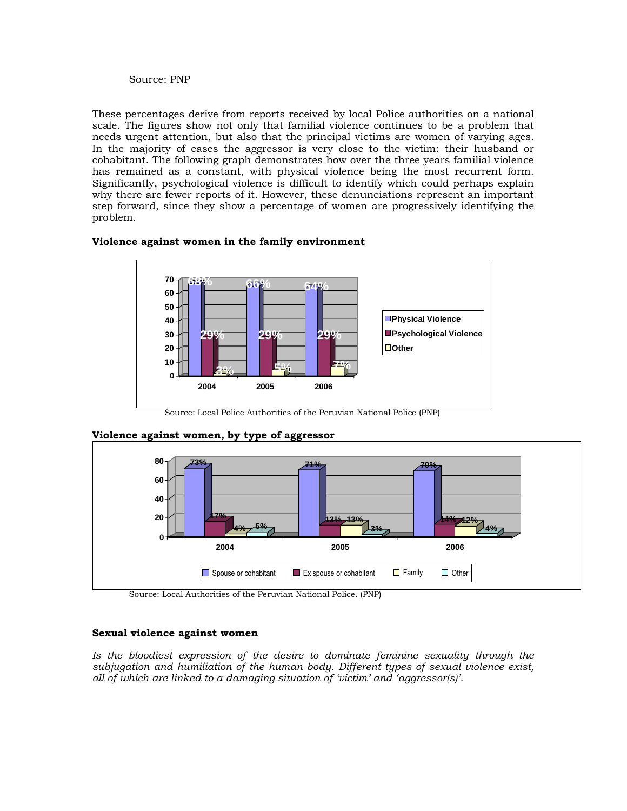# Source: PNP

These percentages derive from reports received by local Police authorities on a national scale. The figures show not only that familial violence continues to be a problem that needs urgent attention, but also that the principal victims are women of varying ages. In the majority of cases the aggressor is very close to the victim: their husband or cohabitant. The following graph demonstrates how over the three years familial violence has remained as a constant, with physical violence being the most recurrent form. Significantly, psychological violence is difficult to identify which could perhaps explain why there are fewer reports of it. However, these denunciations represent an important step forward, since they show a percentage of women are progressively identifying the problem.



# **Violence against women in the family environment**

Source: Local Police Authorities of the Peruvian National Police (PNP)



# **Violence against women, by type of aggressor**

# **Sexual violence against women**

Is the bloodiest expression of the desire to dominate feminine sexuality through the *subjugation and humiliation of the human body. Different types of sexual violence exist, all of which are linked to a damaging situation of "victim" and "aggressor(s)".* 

Source: Local Authorities of the Peruvian National Police. (PNP)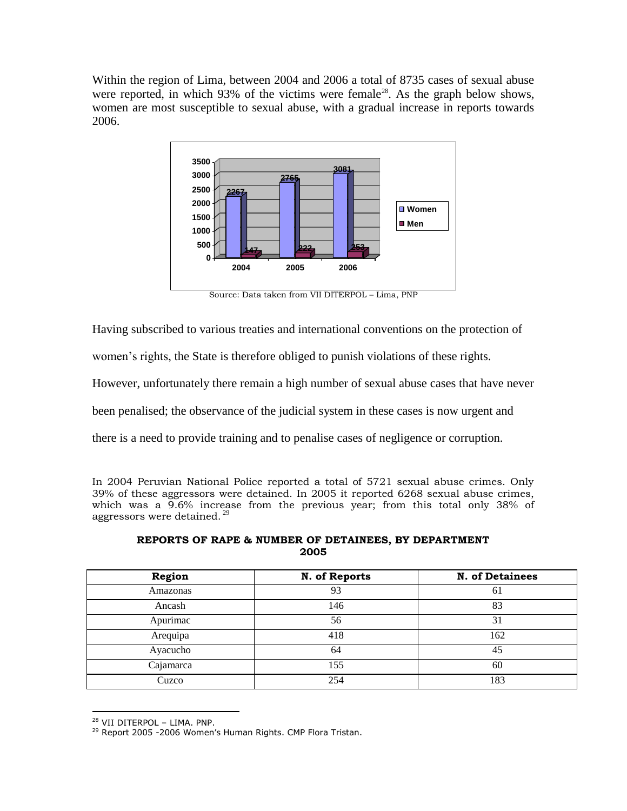Within the region of Lima, between 2004 and 2006 a total of 8735 cases of sexual abuse were reported, in which  $93\%$  of the victims were female<sup>28</sup>. As the graph below shows, women are most susceptible to sexual abuse, with a gradual increase in reports towards 2006.



Source: Data taken from VII DITERPOL – Lima, PNP

Having subscribed to various treaties and international conventions on the protection of

women's rights, the State is therefore obliged to punish violations of these rights.

However, unfortunately there remain a high number of sexual abuse cases that have never

been penalised; the observance of the judicial system in these cases is now urgent and

there is a need to provide training and to penalise cases of negligence or corruption.

In 2004 Peruvian National Police reported a total of 5721 sexual abuse crimes. Only 39% of these aggressors were detained. In 2005 it reported 6268 sexual abuse crimes, which was a 9.6% increase from the previous year; from this total only 38% of aggressors were detained.<sup>29</sup>

# **REPORTS OF RAPE & NUMBER OF DETAINEES, BY DEPARTMENT 2005**

| Region    | N. of Reports | <b>N. of Detainees</b> |
|-----------|---------------|------------------------|
| Amazonas  | 93            | 61                     |
| Ancash    | 146           | 83                     |
| Apurimac  | 56            | 31                     |
| Arequipa  | 418           | 162                    |
| Ayacucho  | 64            | 45                     |
| Cajamarca | 155           | 60                     |
| Cuzco     | 254           | 183                    |

<sup>28</sup> VII DITERPOL – LIMA. PNP.

<sup>&</sup>lt;sup>29</sup> Report 2005 -2006 Women's Human Rights. CMP Flora Tristan.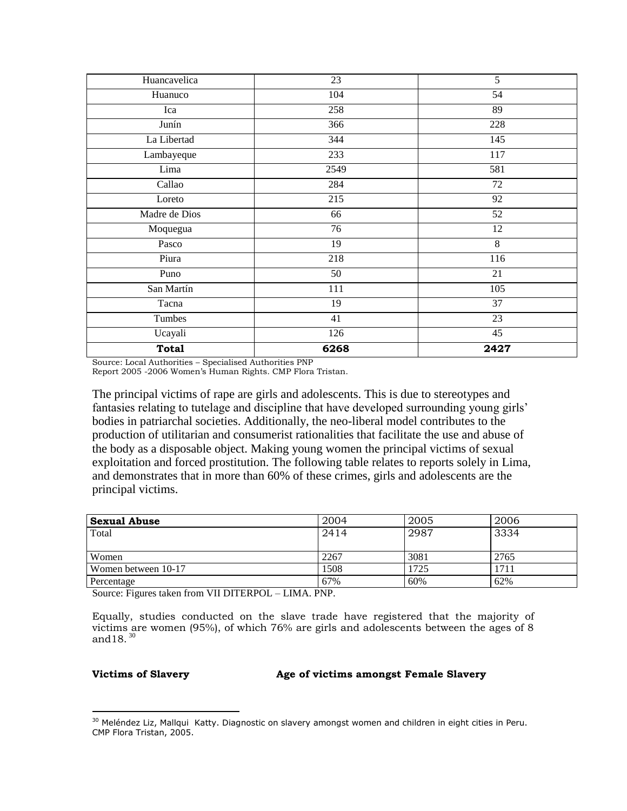| Huancavelica  | 23   | $\overline{5}$  |
|---------------|------|-----------------|
| Huanuco       | 104  | $\overline{54}$ |
| Ica           | 258  | 89              |
| Junín         | 366  | 228             |
| La Libertad   | 344  | 145             |
| Lambayeque    | 233  | 117             |
| Lima          | 2549 | 581             |
| Callao        | 284  | 72              |
| Loreto        | 215  | 92              |
| Madre de Dios | 66   | 52              |
| Moquegua      | 76   | 12              |
| Pasco         | 19   | $\,8\,$         |
| Piura         | 218  | 116             |
| Puno          | 50   | 21              |
| San Martín    | 111  | 105             |
| Tacna         | 19   | 37              |
| Tumbes        | 41   | 23              |
| Ucayali       | 126  | 45              |
| <b>Total</b>  | 6268 | 2427            |

Source: Local Authorities – Specialised Authorities PNP

Report 2005 -2006 Women"s Human Rights. CMP Flora Tristan.

The principal victims of rape are girls and adolescents. This is due to stereotypes and fantasies relating to tutelage and discipline that have developed surrounding young girls' bodies in patriarchal societies. Additionally, the neo-liberal model contributes to the production of utilitarian and consumerist rationalities that facilitate the use and abuse of the body as a disposable object. Making young women the principal victims of sexual exploitation and forced prostitution. The following table relates to reports solely in Lima, and demonstrates that in more than 60% of these crimes, girls and adolescents are the principal victims.

| <b>Sexual Abuse</b> | 2004 | 2005 | 2006 |
|---------------------|------|------|------|
| Total               | 2414 | 2987 | 3334 |
|                     |      |      |      |
| Women               | 2267 | 3081 | 2765 |
| Women between 10-17 | 1508 | 1725 | 1711 |
| Percentage          | 67%  | 60%  | 62%  |

Source: Figures taken from VII DITERPOL – LIMA. PNP.

Equally, studies conducted on the slave trade have registered that the majority of victims are women (95%), of which 76% are girls and adolescents between the ages of 8 and  $18.^{30}$ 

 $\overline{a}$ 

# **Victims of Slavery Age of victims amongst Female Slavery**

<sup>&</sup>lt;sup>30</sup> Meléndez Liz, Mallqui Katty. Diagnostic on slavery amongst women and children in eight cities in Peru. CMP Flora Tristan, 2005.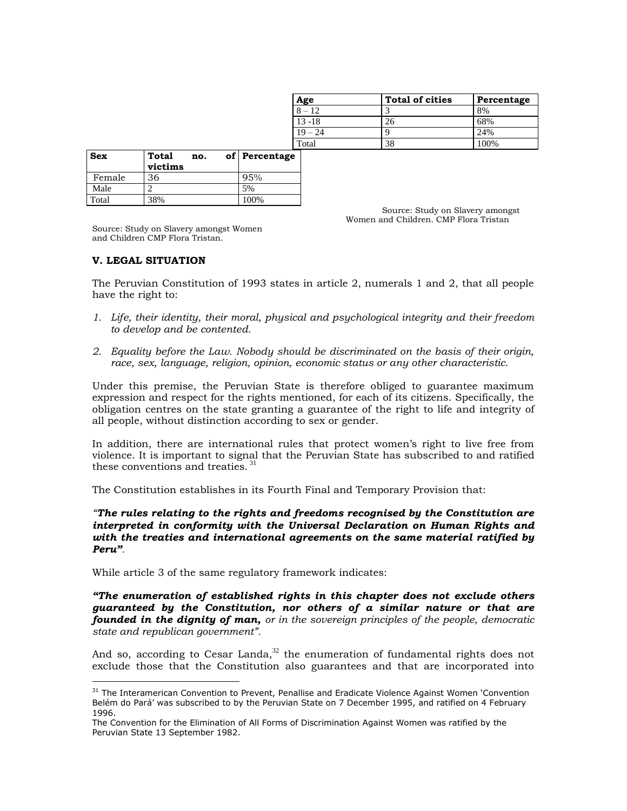| Age       | <b>Total of cities</b> | Percentage |
|-----------|------------------------|------------|
| $8 - 12$  |                        | 8%         |
| $13 - 18$ | 26                     | 68%        |
| $19 - 24$ |                        | 24%        |
| Total     | 38                     | 100%       |

| <b>Sex</b> | Total<br>no.<br>victims | of Percentage |
|------------|-------------------------|---------------|
| Female     | 36                      | 95%           |
| Male       |                         | 5%            |
| Total      | 38%                     | 100%          |

Source: Study on Slavery amongst Women and Children. CMP Flora Tristan

Source: Study on Slavery amongst Women and Children CMP Flora Tristan.

# **V. LEGAL SITUATION**

 $\overline{a}$ 

The Peruvian Constitution of 1993 states in article 2, numerals 1 and 2, that all people have the right to:

- *1. Life, their identity, their moral, physical and psychological integrity and their freedom to develop and be contented.*
- *2. Equality before the Law. Nobody should be discriminated on the basis of their origin, race, sex, language, religion, opinion, economic status or any other characteristic.*

Under this premise, the Peruvian State is therefore obliged to guarantee maximum expression and respect for the rights mentioned, for each of its citizens. Specifically, the obligation centres on the state granting a guarantee of the right to life and integrity of all people, without distinction according to sex or gender.

In addition, there are international rules that protect women"s right to live free from violence. It is important to signal that the Peruvian State has subscribed to and ratified these conventions and treaties.<sup>31</sup>

The Constitution establishes in its Fourth Final and Temporary Provision that:

*"The rules relating to the rights and freedoms recognised by the Constitution are interpreted in conformity with the Universal Declaration on Human Rights and with the treaties and international agreements on the same material ratified by Peru".* 

While article 3 of the same regulatory framework indicates:

*"The enumeration of established rights in this chapter does not exclude others guaranteed by the Constitution, nor others of a similar nature or that are founded in the dignity of man, or in the sovereign principles of the people, democratic state and republican government".*

And so, according to Cesar Landa, $32$  the enumeration of fundamental rights does not exclude those that the Constitution also guarantees and that are incorporated into

<sup>&</sup>lt;sup>31</sup> The Interamerican Convention to Prevent, Penallise and Eradicate Violence Against Women 'Convention Belém do Pará" was subscribed to by the Peruvian State on 7 December 1995, and ratified on 4 February 1996.

The Convention for the Elimination of All Forms of Discrimination Against Women was ratified by the Peruvian State 13 September 1982.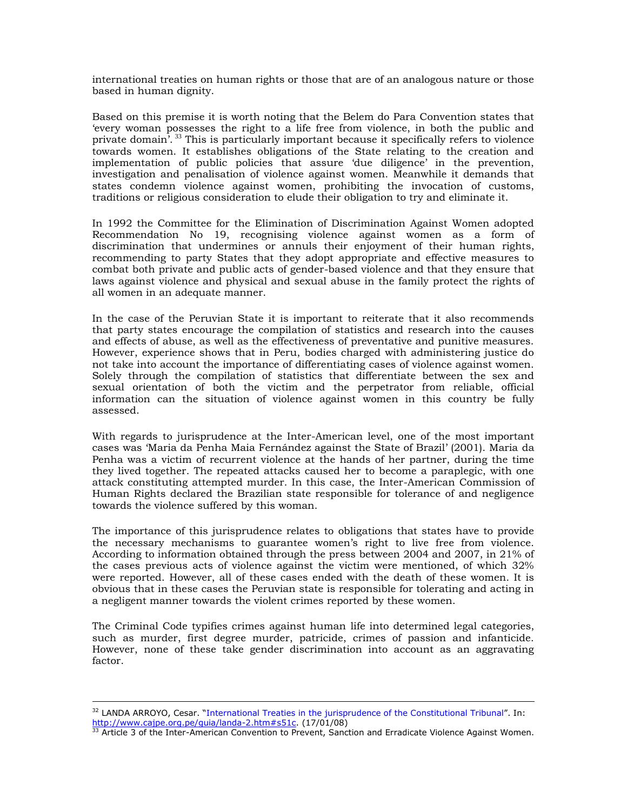international treaties on human rights or those that are of an analogous nature or those based in human dignity.

Based on this premise it is worth noting that the Belem do Para Convention states that "every woman possesses the right to a life free from violence, in both the public and private domain<sup>7</sup>.<sup>33</sup> This is particularly important because it specifically refers to violence towards women. It establishes obligations of the State relating to the creation and implementation of public policies that assure "due diligence" in the prevention, investigation and penalisation of violence against women. Meanwhile it demands that states condemn violence against women, prohibiting the invocation of customs, traditions or religious consideration to elude their obligation to try and eliminate it.

In 1992 the Committee for the Elimination of Discrimination Against Women adopted Recommendation No 19, recognising violence against women as a form of discrimination that undermines or annuls their enjoyment of their human rights, recommending to party States that they adopt appropriate and effective measures to combat both private and public acts of gender-based violence and that they ensure that laws against violence and physical and sexual abuse in the family protect the rights of all women in an adequate manner.

In the case of the Peruvian State it is important to reiterate that it also recommends that party states encourage the compilation of statistics and research into the causes and effects of abuse, as well as the effectiveness of preventative and punitive measures. However, experience shows that in Peru, bodies charged with administering justice do not take into account the importance of differentiating cases of violence against women. Solely through the compilation of statistics that differentiate between the sex and sexual orientation of both the victim and the perpetrator from reliable, official information can the situation of violence against women in this country be fully assessed.

With regards to jurisprudence at the Inter-American level, one of the most important cases was "Maria da Penha Maia Fernández against the State of Brazil" (2001). Maria da Penha was a victim of recurrent violence at the hands of her partner, during the time they lived together. The repeated attacks caused her to become a paraplegic, with one attack constituting attempted murder. In this case, the Inter-American Commission of Human Rights declared the Brazilian state responsible for tolerance of and negligence towards the violence suffered by this woman.

The importance of this jurisprudence relates to obligations that states have to provide the necessary mechanisms to guarantee women"s right to live free from violence. According to information obtained through the press between 2004 and 2007, in 21% of the cases previous acts of violence against the victim were mentioned, of which 32% were reported. However, all of these cases ended with the death of these women. It is obvious that in these cases the Peruvian state is responsible for tolerating and acting in a negligent manner towards the violent crimes reported by these women.

The Criminal Code typifies crimes against human life into determined legal categories, such as murder, first degree murder, patricide, crimes of passion and infanticide. However, none of these take gender discrimination into account as an aggravating factor.

<sup>&</sup>lt;sup>32</sup> LANDA ARROYO, Cesar. "International Treaties in the jurisprudence of the Constitutional Tribunal". In: [http://www.cajpe.org.pe/guia/landa-2.htm#s51c.](http://www.cajpe.org.pe/guia/landa-2.htm#s51c) (17/01/08)<br> $\frac{\text{http://www.caipe.org-pe/guia/landa-2.htm#s51c.}}{33 \text{ Article 2 of the Tate.}}$ 

 $3$  Article 3 of the Inter-American Convention to Prevent, Sanction and Erradicate Violence Against Women.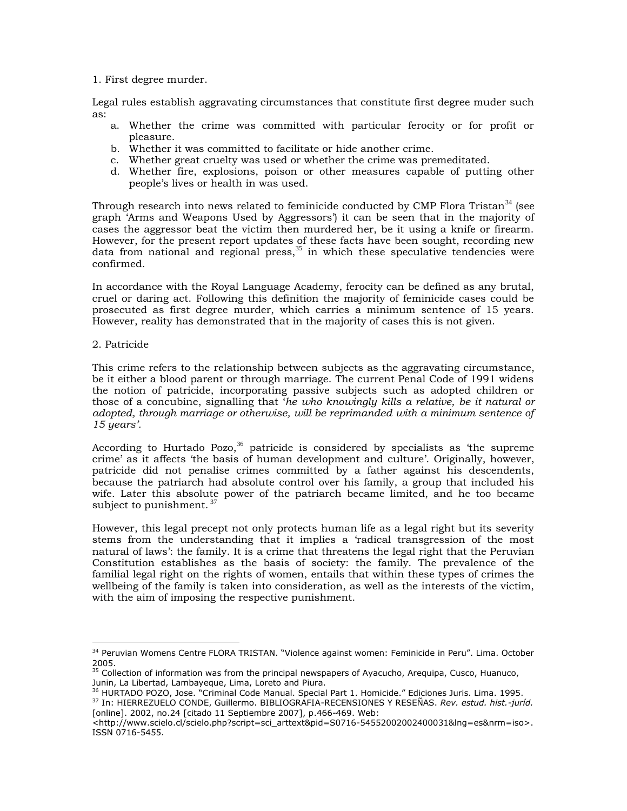1. First degree murder.

Legal rules establish aggravating circumstances that constitute first degree muder such as:

- a. Whether the crime was committed with particular ferocity or for profit or pleasure.
- b. Whether it was committed to facilitate or hide another crime.
- c. Whether great cruelty was used or whether the crime was premeditated.
- d. Whether fire, explosions, poison or other measures capable of putting other people"s lives or health in was used.

Through research into news related to feminicide conducted by CMP Flora Tristan $34$  (see graph "Arms and Weapons Used by Aggressors") it can be seen that in the majority of cases the aggressor beat the victim then murdered her, be it using a knife or firearm. However, for the present report updates of these facts have been sought, recording new data from national and regional press, $35$  in which these speculative tendencies were confirmed.

In accordance with the Royal Language Academy, ferocity can be defined as any brutal, cruel or daring act. Following this definition the majority of feminicide cases could be prosecuted as first degree murder, which carries a minimum sentence of 15 years. However, reality has demonstrated that in the majority of cases this is not given.

2. Patricide

This crime refers to the relationship between subjects as the aggravating circumstance, be it either a blood parent or through marriage. The current Penal Code of 1991 widens the notion of patricide, incorporating passive subjects such as adopted children or those of a concubine, signalling that "*he who knowingly kills a relative, be it natural or adopted, through marriage or otherwise, will be reprimanded with a minimum sentence of 15 years".*

According to Hurtado Pozo,  $36$  patricide is considered by specialists as 'the supreme crime" as it affects "the basis of human development and culture". Originally, however, patricide did not penalise crimes committed by a father against his descendents, because the patriarch had absolute control over his family, a group that included his wife. Later this absolute power of the patriarch became limited, and he too became subject to punishment.  $3\frac{7}{2}$ 

However, this legal precept not only protects human life as a legal right but its severity stems from the understanding that it implies a "radical transgression of the most natural of laws": the family. It is a crime that threatens the legal right that the Peruvian Constitution establishes as the basis of society: the family. The prevalence of the familial legal right on the rights of women, entails that within these types of crimes the wellbeing of the family is taken into consideration, as well as the interests of the victim, with the aim of imposing the respective punishment.

<sup>37</sup> In: HIERREZUELO CONDE, Guillermo. BIBLIOGRAFIA-RECENSIONES Y RESEÑAS. *Rev. estud. hist.-juríd.* [online]. 2002, no.24 [citado 11 Septiembre 2007], p.466-469. Web:

 $\overline{a}$ <sup>34</sup> Peruvian Womens Centre FLORA TRISTAN. "Violence against women: Feminicide in Peru". Lima. October 2005.

<sup>&</sup>lt;sup>35</sup> Collection of information was from the principal newspapers of Ayacucho, Arequipa, Cusco, Huanuco, Junin, La Libertad, Lambayeque, Lima, Loreto and Piura.

<sup>36</sup> HURTADO POZO, Jose. "Criminal Code Manual. Special Part 1. Homicide." Ediciones Juris. Lima. 1995.

<sup>&</sup>lt;http://www.scielo.cl/scielo.php?script=sci\_arttext&pid=S0716-54552002002400031&lng=es&nrm=iso>. ISSN 0716-5455.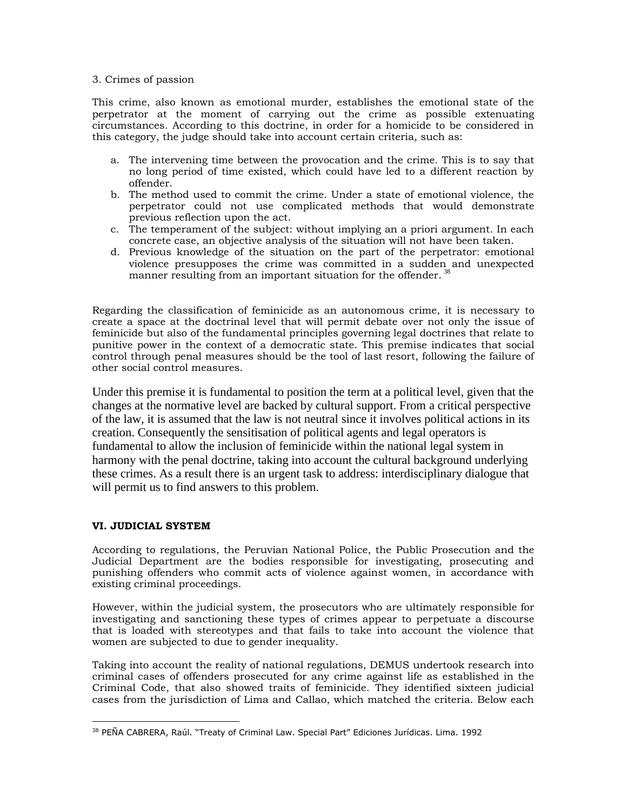# 3. Crimes of passion

This crime, also known as emotional murder, establishes the emotional state of the perpetrator at the moment of carrying out the crime as possible extenuating circumstances. According to this doctrine, in order for a homicide to be considered in this category, the judge should take into account certain criteria, such as:

- a. The intervening time between the provocation and the crime. This is to say that no long period of time existed, which could have led to a different reaction by offender.
- b. The method used to commit the crime. Under a state of emotional violence, the perpetrator could not use complicated methods that would demonstrate previous reflection upon the act.
- c. The temperament of the subject: without implying an a priori argument. In each concrete case, an objective analysis of the situation will not have been taken.
- d. Previous knowledge of the situation on the part of the perpetrator: emotional violence presupposes the crime was committed in a sudden and unexpected manner resulting from an important situation for the offender.  $38$

Regarding the classification of feminicide as an autonomous crime, it is necessary to create a space at the doctrinal level that will permit debate over not only the issue of feminicide but also of the fundamental principles governing legal doctrines that relate to punitive power in the context of a democratic state. This premise indicates that social control through penal measures should be the tool of last resort, following the failure of other social control measures.

Under this premise it is fundamental to position the term at a political level, given that the changes at the normative level are backed by cultural support. From a critical perspective of the law, it is assumed that the law is not neutral since it involves political actions in its creation. Consequently the sensitisation of political agents and legal operators is fundamental to allow the inclusion of feminicide within the national legal system in harmony with the penal doctrine, taking into account the cultural background underlying these crimes. As a result there is an urgent task to address: interdisciplinary dialogue that will permit us to find answers to this problem.

# **VI. JUDICIAL SYSTEM**

 $\overline{a}$ 

According to regulations, the Peruvian National Police, the Public Prosecution and the Judicial Department are the bodies responsible for investigating, prosecuting and punishing offenders who commit acts of violence against women, in accordance with existing criminal proceedings.

However, within the judicial system, the prosecutors who are ultimately responsible for investigating and sanctioning these types of crimes appear to perpetuate a discourse that is loaded with stereotypes and that fails to take into account the violence that women are subjected to due to gender inequality.

Taking into account the reality of national regulations, DEMUS undertook research into criminal cases of offenders prosecuted for any crime against life as established in the Criminal Code, that also showed traits of feminicide. They identified sixteen judicial cases from the jurisdiction of Lima and Callao, which matched the criteria. Below each

<sup>&</sup>lt;sup>38</sup> PEÑA CABRERA, Raúl. "Treaty of Criminal Law. Special Part" Ediciones Jurídicas. Lima. 1992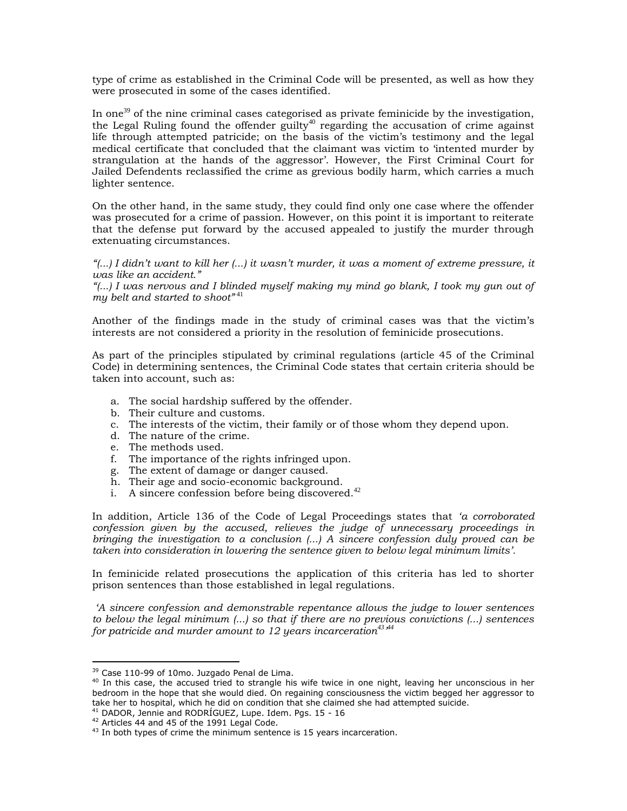type of crime as established in the Criminal Code will be presented, as well as how they were prosecuted in some of the cases identified.

In one<sup>39</sup> of the nine criminal cases categorised as private feminicide by the investigation, the Legal Ruling found the offender guilty<sup>40</sup> regarding the accusation of crime against life through attempted patricide; on the basis of the victim"s testimony and the legal medical certificate that concluded that the claimant was victim to "intented murder by strangulation at the hands of the aggressor". However, the First Criminal Court for Jailed Defendents reclassified the crime as grevious bodily harm, which carries a much lighter sentence.

On the other hand, in the same study, they could find only one case where the offender was prosecuted for a crime of passion. However, on this point it is important to reiterate that the defense put forward by the accused appealed to justify the murder through extenuating circumstances.

*"(...) I didn"t want to kill her (...) it wasn"t murder, it was a moment of extreme pressure, it was like an accident."*

*"(...) I was nervous and I blinded myself making my mind go blank, I took my gun out of my belt and started to shoot"* <sup>41</sup>

Another of the findings made in the study of criminal cases was that the victim"s interests are not considered a priority in the resolution of feminicide prosecutions.

As part of the principles stipulated by criminal regulations (article 45 of the Criminal Code) in determining sentences, the Criminal Code states that certain criteria should be taken into account, such as:

- a. The social hardship suffered by the offender.
- b. Their culture and customs.
- c. The interests of the victim, their family or of those whom they depend upon.
- d. The nature of the crime.
- e. The methods used.
- f. The importance of the rights infringed upon.
- g. The extent of damage or danger caused.
- h. Their age and socio-economic background.
- i. A sincere confession before being discovered. $42$

In addition, Article 136 of the Code of Legal Proceedings states that *"a corroborated confession given by the accused, relieves the judge of unnecessary proceedings in bringing the investigation to a conclusion (...) A sincere confession duly proved can be taken into consideration in lowering the sentence given to below legal minimum limits".*

In feminicide related prosecutions the application of this criteria has led to shorter prison sentences than those established in legal regulations.

*"A sincere confession and demonstrable repentance allows the judge to lower sentences to below the legal minimum (...) so that if there are no previous convictions (...) sentences for patricide and murder amount to 12 years incarceration<sup>43</sup>" 44*

<sup>&</sup>lt;sup>39</sup> Case 110-99 of 10mo. Juzgado Penal de Lima.

<sup>&</sup>lt;sup>40</sup> In this case, the accused tried to strangle his wife twice in one night, leaving her unconscious in her bedroom in the hope that she would died. On regaining consciousness the victim begged her aggressor to take her to hospital, which he did on condition that she claimed she had attempted suicide.

<sup>41</sup> DADOR, Jennie and RODRÍGUEZ, Lupe. Idem. Pgs. 15 - 16

<sup>&</sup>lt;sup>42</sup> Articles 44 and 45 of the 1991 Legal Code.

 $43$  In both types of crime the minimum sentence is 15 years incarceration.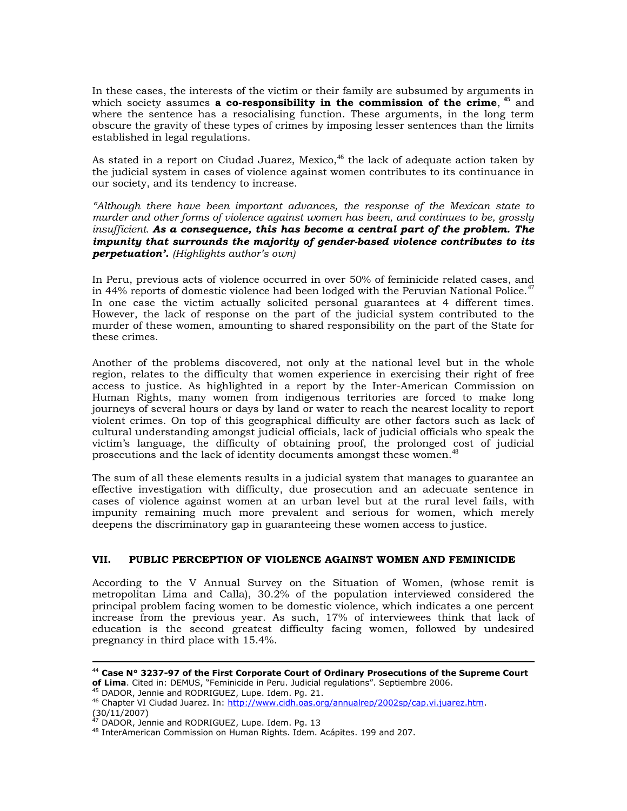In these cases, the interests of the victim or their family are subsumed by arguments in which society assumes **a co-responsibility in the commission of the crime**, <sup>45</sup> and where the sentence has a resocialising function. These arguments, in the long term obscure the gravity of these types of crimes by imposing lesser sentences than the limits established in legal regulations.

As stated in a report on Ciudad Juarez, Mexico,<sup>46</sup> the lack of adequate action taken by the judicial system in cases of violence against women contributes to its continuance in our society, and its tendency to increase.

*"Although there have been important advances, the response of the Mexican state to murder and other forms of violence against women has been, and continues to be, grossly insufficient. As a consequence, this has become a central part of the problem. The impunity that surrounds the majority of gender-based violence contributes to its perpetuation'. (Highlights author"s own)* 

In Peru, previous acts of violence occurred in over 50% of feminicide related cases, and in 44% reports of domestic violence had been lodged with the Peruvian National Police.<sup>47</sup> In one case the victim actually solicited personal guarantees at 4 different times. However, the lack of response on the part of the judicial system contributed to the murder of these women, amounting to shared responsibility on the part of the State for these crimes.

Another of the problems discovered, not only at the national level but in the whole region, relates to the difficulty that women experience in exercising their right of free access to justice. As highlighted in a report by the Inter-American Commission on Human Rights, many women from indigenous territories are forced to make long journeys of several hours or days by land or water to reach the nearest locality to report violent crimes. On top of this geographical difficulty are other factors such as lack of cultural understanding amongst judicial officials, lack of judicial officials who speak the victim"s language, the difficulty of obtaining proof, the prolonged cost of judicial prosecutions and the lack of identity documents amongst these women.<sup>41</sup>

The sum of all these elements results in a judicial system that manages to guarantee an effective investigation with difficulty, due prosecution and an adecuate sentence in cases of violence against women at an urban level but at the rural level fails, with impunity remaining much more prevalent and serious for women, which merely deepens the discriminatory gap in guaranteeing these women access to justice.

# **VII. PUBLIC PERCEPTION OF VIOLENCE AGAINST WOMEN AND FEMINICIDE**

According to the V Annual Survey on the Situation of Women, (whose remit is metropolitan Lima and Calla),  $30.2\%$  of the population interviewed considered the principal problem facing women to be domestic violence, which indicates a one percent increase from the previous year. As such, 17% of interviewees think that lack of education is the second greatest difficulty facing women, followed by undesired pregnancy in third place with 15.4%.

<sup>44</sup> **Case N° 3237-97 of the First Corporate Court of Ordinary Prosecutions of the Supreme Court of Lima**. Cited in: DEMUS, "Feminicide in Peru. Judicial regulations". Septiembre 2006.

<sup>45</sup> DADOR, Jennie and RODRIGUEZ, Lupe. Idem. Pg. 21.

<sup>46</sup> Chapter VI Ciudad Juarez. In: [http://www.cidh.oas.org/annualrep/2002sp/cap.vi.juarez.htm.](http://www.cidh.oas.org/annualrep/2002sp/cap.vi.juarez.htm) (30/11/2007)

<sup>&</sup>lt;sup>47</sup> DADOR, Jennie and RODRIGUEZ, Lupe. Idem. Pg. 13

<sup>48</sup> InterAmerican Commission on Human Rights. Idem. Acápites. 199 and 207.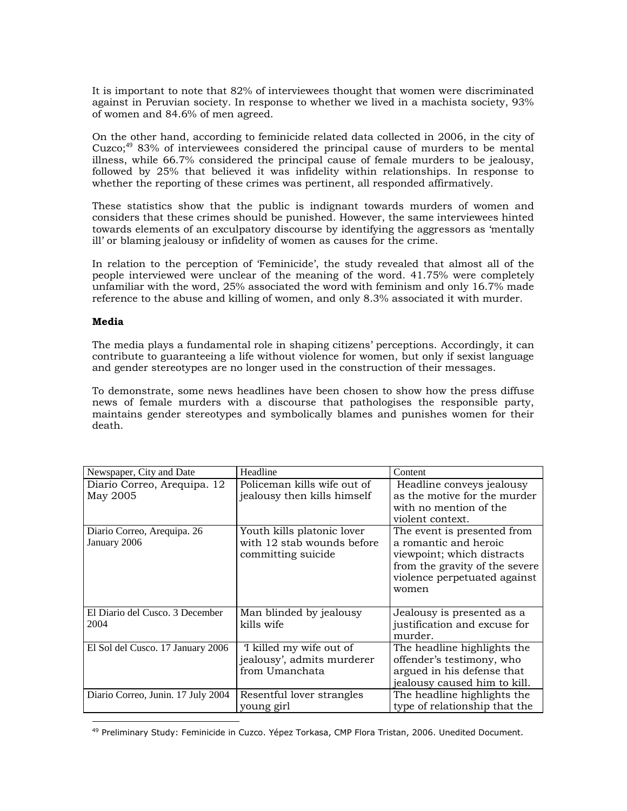It is important to note that 82% of interviewees thought that women were discriminated against in Peruvian society. In response to whether we lived in a machista society, 93% of women and 84.6% of men agreed.

On the other hand, according to feminicide related data collected in 2006, in the city of Cuzco;<sup>49</sup> 83% of interviewees considered the principal cause of murders to be mental illness, while 66.7% considered the principal cause of female murders to be jealousy, followed by 25% that believed it was infidelity within relationships. In response to whether the reporting of these crimes was pertinent, all responded affirmatively.

These statistics show that the public is indignant towards murders of women and considers that these crimes should be punished. However, the same interviewees hinted towards elements of an exculpatory discourse by identifying the aggressors as "mentally ill" or blaming jealousy or infidelity of women as causes for the crime.

In relation to the perception of "Feminicide", the study revealed that almost all of the people interviewed were unclear of the meaning of the word. 41.75% were completely unfamiliar with the word, 25% associated the word with feminism and only 16.7% made reference to the abuse and killing of women, and only 8.3% associated it with murder.

# **Media**

The media plays a fundamental role in shaping citizens" perceptions. Accordingly, it can contribute to guaranteeing a life without violence for women, but only if sexist language and gender stereotypes are no longer used in the construction of their messages.

To demonstrate, some news headlines have been chosen to show how the press diffuse news of female murders with a discourse that pathologises the responsible party, maintains gender stereotypes and symbolically blames and punishes women for their death.

| Newspaper, City and Date                    | Headline                                                                       | Content                                                                                                                                                       |
|---------------------------------------------|--------------------------------------------------------------------------------|---------------------------------------------------------------------------------------------------------------------------------------------------------------|
| Diario Correo, Arequipa. 12<br>May 2005     | Policeman kills wife out of<br>jealousy then kills himself                     | Headline conveys jealousy<br>as the motive for the murder<br>with no mention of the<br>violent context.                                                       |
| Diario Correo, Arequipa. 26<br>January 2006 | Youth kills platonic lover<br>with 12 stab wounds before<br>committing suicide | The event is presented from<br>a romantic and heroic<br>viewpoint; which distracts<br>from the gravity of the severe<br>violence perpetuated against<br>women |
| El Diario del Cusco. 3 December<br>2004     | Man blinded by jealousy<br>kills wife                                          | Jealousy is presented as a<br>justification and excuse for<br>murder.                                                                                         |
| El Sol del Cusco. 17 January 2006           | I killed my wife out of<br>jealousy', admits murderer<br>from Umanchata        | The headline highlights the<br>offender's testimony, who<br>argued in his defense that<br>jealousy caused him to kill.                                        |
| Diario Correo, Junin. 17 July 2004          | Resentful lover strangles<br>young girl                                        | The headline highlights the<br>type of relationship that the                                                                                                  |

 $\overline{a}$ <sup>49</sup> Preliminary Study: Feminicide in Cuzco. Yépez Torkasa, CMP Flora Tristan, 2006. Unedited Document.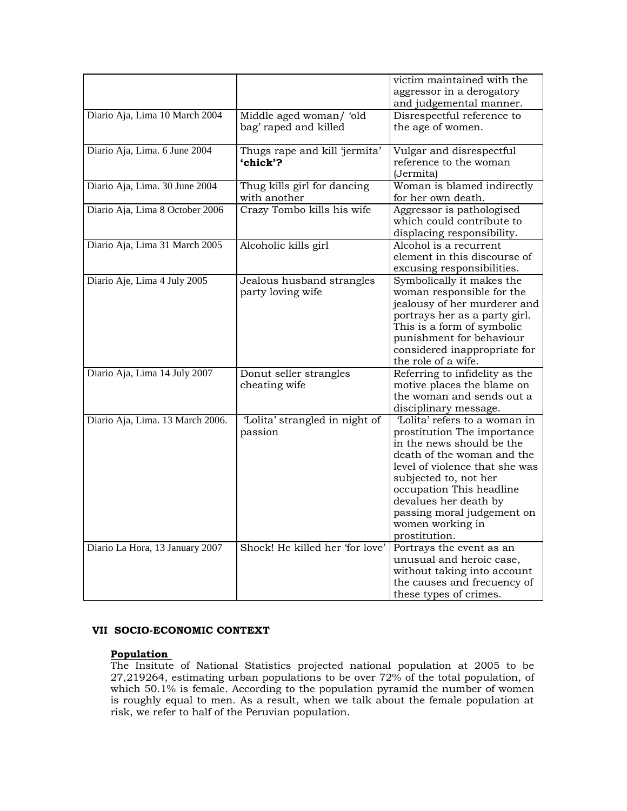|                                  |                                                  | victim maintained with the<br>aggressor in a derogatory<br>and judgemental manner.                                                                                                                                                                                                                         |
|----------------------------------|--------------------------------------------------|------------------------------------------------------------------------------------------------------------------------------------------------------------------------------------------------------------------------------------------------------------------------------------------------------------|
| Diario Aja, Lima 10 March 2004   | Middle aged woman/ 'old<br>bag' raped and killed | Disrespectful reference to<br>the age of women.                                                                                                                                                                                                                                                            |
| Diario Aja, Lima. 6 June 2004    | Thugs rape and kill 'jermita'<br>'chick'?        | Vulgar and disrespectful<br>reference to the woman<br>(Jermita)                                                                                                                                                                                                                                            |
| Diario Aja, Lima. 30 June 2004   | Thug kills girl for dancing<br>with another      | Woman is blamed indirectly<br>for her own death.                                                                                                                                                                                                                                                           |
| Diario Aja, Lima 8 October 2006  | Crazy Tombo kills his wife                       | Aggressor is pathologised<br>which could contribute to<br>displacing responsibility.                                                                                                                                                                                                                       |
| Diario Aja, Lima 31 March 2005   | Alcoholic kills girl                             | Alcohol is a recurrent<br>element in this discourse of<br>excusing responsibilities.                                                                                                                                                                                                                       |
| Diario Aje, Lima 4 July 2005     | Jealous husband strangles<br>party loving wife   | Symbolically it makes the<br>woman responsible for the<br>jealousy of her murderer and<br>portrays her as a party girl.<br>This is a form of symbolic<br>punishment for behaviour<br>considered inappropriate for<br>the role of a wife.                                                                   |
| Diario Aja, Lima 14 July 2007    | Donut seller strangles<br>cheating wife          | Referring to infidelity as the<br>motive places the blame on<br>the woman and sends out a<br>disciplinary message.                                                                                                                                                                                         |
| Diario Aja, Lima. 13 March 2006. | 'Lolita' strangled in night of<br>passion        | 'Lolita' refers to a woman in<br>prostitution The importance<br>in the news should be the<br>death of the woman and the<br>level of violence that she was<br>subjected to, not her<br>occupation This headline<br>devalues her death by<br>passing moral judgement on<br>women working in<br>prostitution. |
| Diario La Hora, 13 January 2007  | Shock! He killed her 'for love'                  | Portrays the event as an<br>unusual and heroic case,<br>without taking into account<br>the causes and frecuency of<br>these types of crimes.                                                                                                                                                               |

# **VII SOCIO-ECONOMIC CONTEXT**

# **Population**

The Insitute of National Statistics projected national population at 2005 to be 27,219264, estimating urban populations to be over 72% of the total population, of which 50.1% is female. According to the population pyramid the number of women is roughly equal to men. As a result, when we talk about the female population at risk, we refer to half of the Peruvian population.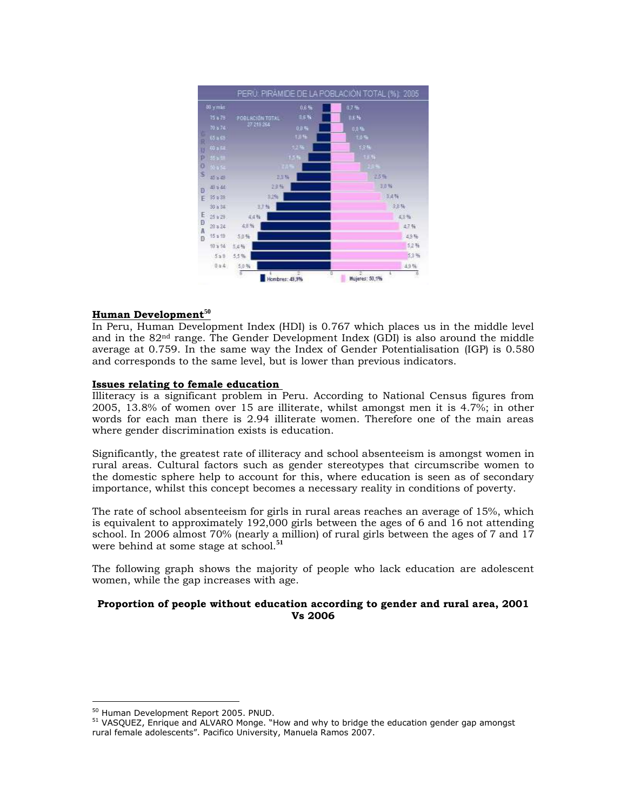

# **Human Development<sup>50</sup>**

In Peru, Human Development Index (HDI) is 0.767 which places us in the middle level and in the  $82<sup>nd</sup>$  range. The Gender Development Index (GDI) is also around the middle average at 0.759. In the same way the Index of Gender Potentialisation (IGP) is 0.580 and corresponds to the same level, but is lower than previous indicators.

# **Issues relating to female education**

Illiteracy is a significant problem in Peru. According to National Census figures from 2005, 13.8% of women over 15 are illiterate, whilst amongst men it is 4.7%; in other words for each man there is 2.94 illiterate women. Therefore one of the main areas where gender discrimination exists is education.

Significantly, the greatest rate of illiteracy and school absenteeism is amongst women in rural areas. Cultural factors such as gender stereotypes that circumscribe women to the domestic sphere help to account for this, where education is seen as of secondary importance, whilst this concept becomes a necessary reality in conditions of poverty.

The rate of school absenteeism for girls in rural areas reaches an average of 15%, which is equivalent to approximately 192,000 girls between the ages of 6 and 16 not attending school. In 2006 almost 70% (nearly a million) of rural girls between the ages of 7 and 17 were behind at some stage at school.**<sup>51</sup>**

The following graph shows the majority of people who lack education are adolescent women, while the gap increases with age.

# **Proportion of people without education according to gender and rural area, 2001 Vs 2006**

<sup>50</sup> Human Development Report 2005. PNUD.

<sup>&</sup>lt;sup>51</sup> VASOUEZ, Enrique and ALVARO Monge. "How and why to bridge the education gender gap amongst rural female adolescents". Pacifico University, Manuela Ramos 2007.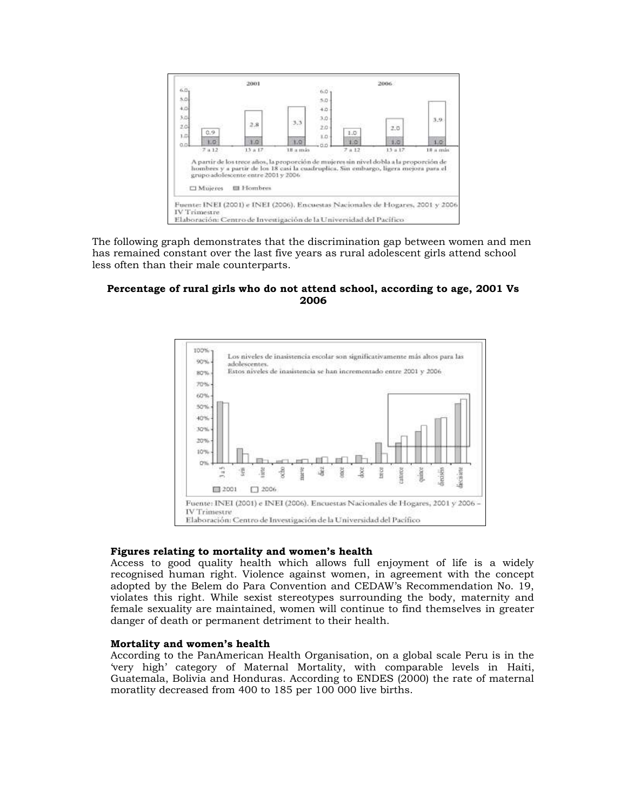

The following graph demonstrates that the discrimination gap between women and men has remained constant over the last five years as rural adolescent girls attend school less often than their male counterparts.

# **Percentage of rural girls who do not attend school, according to age, 2001 Vs 2006**



## **Figures relating to mortality and women's health**

Access to good quality health which allows full enjoyment of life is a widely recognised human right. Violence against women, in agreement with the concept adopted by the Belem do Para Convention and CEDAW"s Recommendation No. 19, violates this right. While sexist stereotypes surrounding the body, maternity and female sexuality are maintained, women will continue to find themselves in greater danger of death or permanent detriment to their health.

# **Mortality and women's health**

According to the PanAmerican Health Organisation, on a global scale Peru is in the "very high" category of Maternal Mortality, with comparable levels in Haiti, Guatemala, Bolivia and Honduras. According to ENDES (2000) the rate of maternal moratlity decreased from 400 to 185 per 100 000 live births.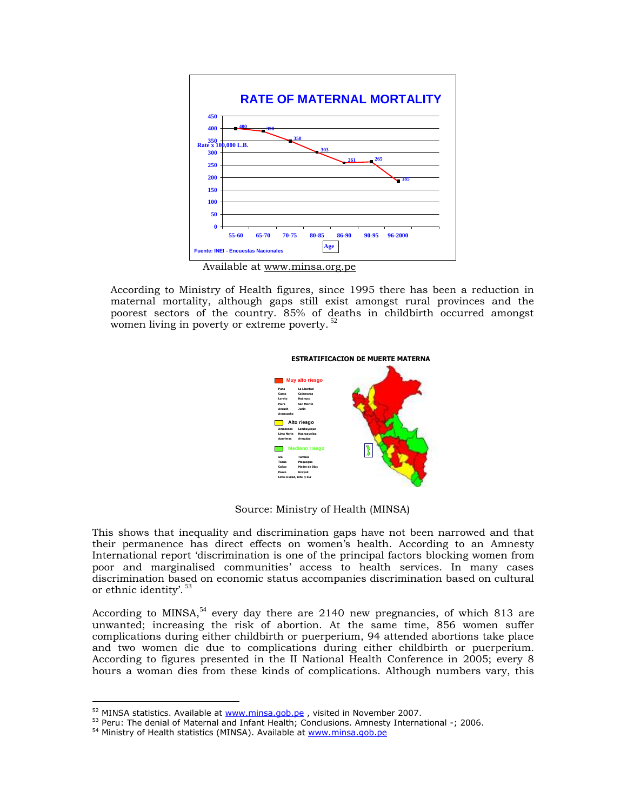

Available at www.minsa.org.pe

According to Ministry of Health figures, since 1995 there has been a reduction in maternal mortality, although gaps still exist amongst rural provinces and the poorest sectors of the country. 85% of deaths in childbirth occurred amongst women living in poverty or extreme poverty.<sup>52</sup>



Source: Ministry of Health (MINSA)

This shows that inequality and discrimination gaps have not been narrowed and that their permanence has direct effects on women"s health. According to an Amnesty International report "discrimination is one of the principal factors blocking women from poor and marginalised communities" access to health services. In many cases discrimination based on economic status accompanies discrimination based on cultural or ethnic identity'.<sup>53</sup>

According to MINSA,<sup>54</sup> every day there are 2140 new pregnancies, of which 813 are unwanted; increasing the risk of abortion. At the same time, 856 women suffer complications during either childbirth or puerperium, 94 attended abortions take place and two women die due to complications during either childbirth or puerperium. According to figures presented in the II National Health Conference in 2005; every 8 hours a woman dies from these kinds of complications. Although numbers vary, this

<sup>&</sup>lt;sup>52</sup> MINSA statistics. Available at [www.minsa.gob.pe](http://www.minsa.gob.pe/), visited in November 2007.

<sup>53</sup> Peru: The denial of Maternal and Infant Health; Conclusions. Amnesty International -; 2006.

<sup>54</sup> Ministry of Health statistics (MINSA). Available at [www.minsa.gob.pe](http://www.minsa.gob.pe/)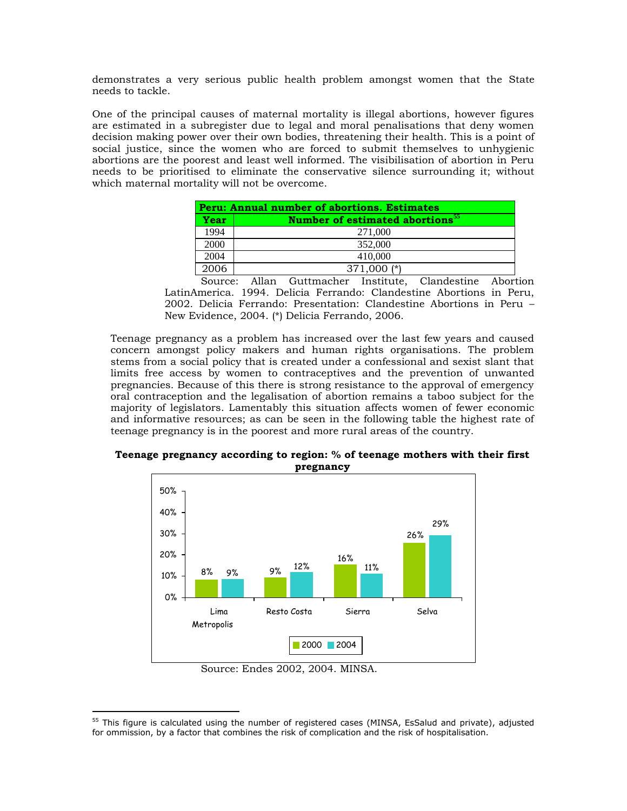demonstrates a very serious public health problem amongst women that the State needs to tackle.

One of the principal causes of maternal mortality is illegal abortions, however figures are estimated in a subregister due to legal and moral penalisations that deny women decision making power over their own bodies, threatening their health. This is a point of social justice, since the women who are forced to submit themselves to unhygienic abortions are the poorest and least well informed. The visibilisation of abortion in Peru needs to be prioritised to eliminate the conservative silence surrounding it; without which maternal mortality will not be overcome.

|      | Peru: Annual number of abortions. Estimates        |
|------|----------------------------------------------------|
| Year | <b>Number of estimated abortions</b> <sup>55</sup> |
| 1994 | 271,000                                            |
| 2000 | 352,000                                            |
| 2004 | 410,000                                            |
| 2006 | $371,000$ (*)                                      |

Source: Allan Guttmacher Institute, Clandestine Abortion LatinAmerica. 1994. Delicia Ferrando: Clandestine Abortions in Peru, 2002. Delicia Ferrando: Presentation: Clandestine Abortions in Peru – New Evidence, 2004. (\*) Delicia Ferrando, 2006.

Teenage pregnancy as a problem has increased over the last few years and caused concern amongst policy makers and human rights organisations. The problem stems from a social policy that is created under a confessional and sexist slant that limits free access by women to contraceptives and the prevention of unwanted pregnancies. Because of this there is strong resistance to the approval of emergency oral contraception and the legalisation of abortion remains a taboo subject for the majority of legislators. Lamentably this situation affects women of fewer economic and informative resources; as can be seen in the following table the highest rate of teenage pregnancy is in the poorest and more rural areas of the country.



**Teenage pregnancy according to region: % of teenage mothers with their first pregnancy**

Source: Endes 2002, 2004. MINSA.

<sup>&</sup>lt;sup>55</sup> This figure is calculated using the number of registered cases (MINSA, EsSalud and private), adjusted for ommission, by a factor that combines the risk of complication and the risk of hospitalisation.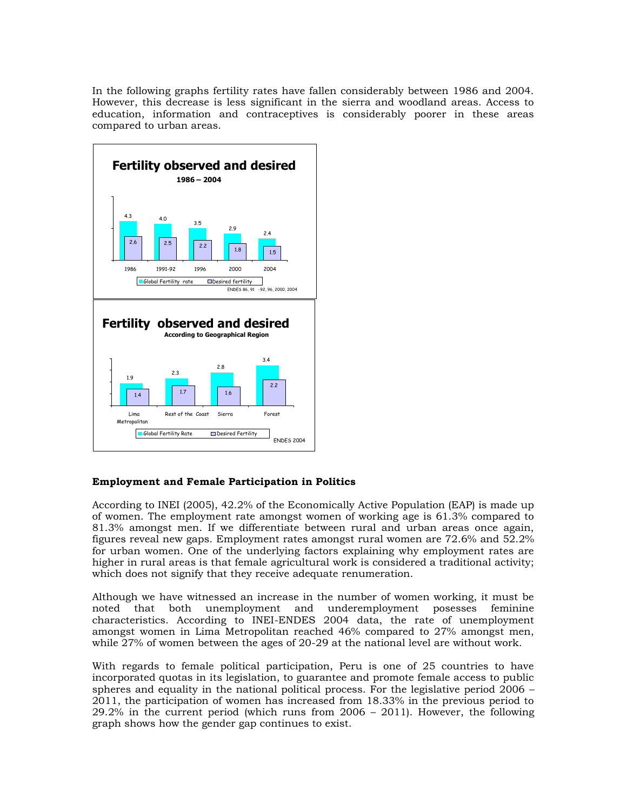In the following graphs fertility rates have fallen considerably between 1986 and 2004. However, this decrease is less significant in the sierra and woodland areas. Access to education, information and contraceptives is considerably poorer in these areas compared to urban areas.



# **Employment and Female Participation in Politics**

According to INEI (2005), 42.2% of the Economically Active Population (EAP) is made up of women. The employment rate amongst women of working age is 61.3% compared to 81.3% amongst men. If we differentiate between rural and urban areas once again, figures reveal new gaps. Employment rates amongst rural women are 72.6% and 52.2% for urban women. One of the underlying factors explaining why employment rates are higher in rural areas is that female agricultural work is considered a traditional activity; which does not signify that they receive adequate renumeration.

Although we have witnessed an increase in the number of women working, it must be noted that both unemployment and underemployment posesses feminine characteristics. According to INEI-ENDES 2004 data, the rate of unemployment amongst women in Lima Metropolitan reached 46% compared to 27% amongst men, while 27% of women between the ages of 20-29 at the national level are without work.

With regards to female political participation, Peru is one of 25 countries to have incorporated quotas in its legislation, to guarantee and promote female access to public spheres and equality in the national political process. For the legislative period 2006 – 2011, the participation of women has increased from 18.33% in the previous period to 29.2% in the current period (which runs from 2006 – 2011). However, the following graph shows how the gender gap continues to exist.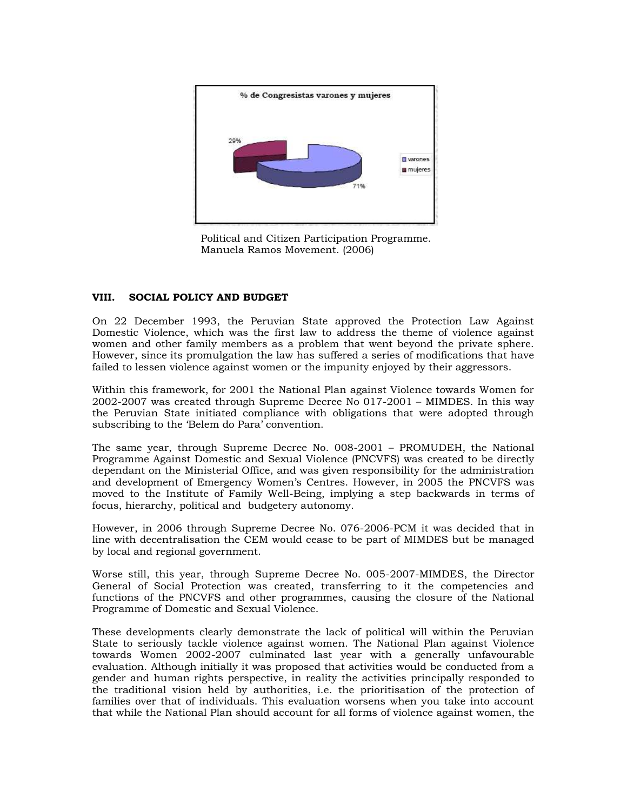

Political and Citizen Participation Programme. Manuela Ramos Movement. (2006)

# **VIII. SOCIAL POLICY AND BUDGET**

On 22 December 1993, the Peruvian State approved the Protection Law Against Domestic Violence, which was the first law to address the theme of violence against women and other family members as a problem that went beyond the private sphere. However, since its promulgation the law has suffered a series of modifications that have failed to lessen violence against women or the impunity enjoyed by their aggressors.

Within this framework, for 2001 the National Plan against Violence towards Women for 2002-2007 was created through Supreme Decree No 017-2001 – MIMDES. In this way the Peruvian State initiated compliance with obligations that were adopted through subscribing to the 'Belem do Para' convention.

The same year, through Supreme Decree No. 008-2001 – PROMUDEH, the National Programme Against Domestic and Sexual Violence (PNCVFS) was created to be directly dependant on the Ministerial Office, and was given responsibility for the administration and development of Emergency Women"s Centres. However, in 2005 the PNCVFS was moved to the Institute of Family Well-Being, implying a step backwards in terms of focus, hierarchy, political and budgetery autonomy.

However, in 2006 through Supreme Decree No. 076-2006-PCM it was decided that in line with decentralisation the CEM would cease to be part of MIMDES but be managed by local and regional government.

Worse still, this year, through Supreme Decree No. 005-2007-MIMDES, the Director General of Social Protection was created, transferring to it the competencies and functions of the PNCVFS and other programmes, causing the closure of the National Programme of Domestic and Sexual Violence.

These developments clearly demonstrate the lack of political will within the Peruvian State to seriously tackle violence against women. The National Plan against Violence towards Women 2002-2007 culminated last year with a generally unfavourable evaluation. Although initially it was proposed that activities would be conducted from a gender and human rights perspective, in reality the activities principally responded to the traditional vision held by authorities, i.e. the prioritisation of the protection of families over that of individuals. This evaluation worsens when you take into account that while the National Plan should account for all forms of violence against women, the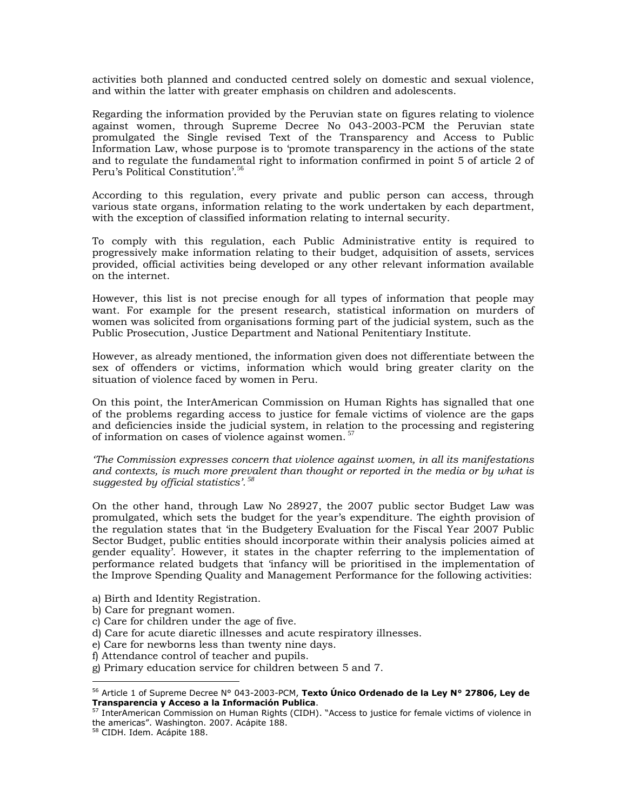activities both planned and conducted centred solely on domestic and sexual violence, and within the latter with greater emphasis on children and adolescents.

Regarding the information provided by the Peruvian state on figures relating to violence against women, through Supreme Decree No 043-2003-PCM the Peruvian state promulgated the Single revised Text of the Transparency and Access to Public Information Law, whose purpose is to "promote transparency in the actions of the state and to regulate the fundamental right to information confirmed in point 5 of article 2 of Peru's Political Constitution'.<sup>56</sup>

According to this regulation, every private and public person can access, through various state organs, information relating to the work undertaken by each department, with the exception of classified information relating to internal security.

To comply with this regulation, each Public Administrative entity is required to progressively make information relating to their budget, adquisition of assets, services provided, official activities being developed or any other relevant information available on the internet.

However, this list is not precise enough for all types of information that people may want. For example for the present research, statistical information on murders of women was solicited from organisations forming part of the judicial system, such as the Public Prosecution, Justice Department and National Penitentiary Institute.

However, as already mentioned, the information given does not differentiate between the sex of offenders or victims, information which would bring greater clarity on the situation of violence faced by women in Peru.

On this point, the InterAmerican Commission on Human Rights has signalled that one of the problems regarding access to justice for female victims of violence are the gaps and deficiencies inside the judicial system, in relation to the processing and registering of information on cases of violence against women.<sup>57</sup>

*"The Commission expresses concern that violence against women, in all its manifestations and contexts, is much more prevalent than thought or reported in the media or by what is suggested by official statistics". <sup>58</sup>*

On the other hand, through Law No 28927, the 2007 public sector Budget Law was promulgated, which sets the budget for the year"s expenditure. The eighth provision of the regulation states that "in the Budgetery Evaluation for the Fiscal Year 2007 Public Sector Budget, public entities should incorporate within their analysis policies aimed at gender equality'. However, it states in the chapter referring to the implementation of performance related budgets that "infancy will be prioritised in the implementation of the Improve Spending Quality and Management Performance for the following activities:

- a) Birth and Identity Registration.
- b) Care for pregnant women.
- c) Care for children under the age of five.
- d) Care for acute diaretic illnesses and acute respiratory illnesses.
- e) Care for newborns less than twenty nine days.
- f) Attendance control of teacher and pupils.
- g) Primary education service for children between 5 and 7.

<sup>56</sup> Article 1 of Supreme Decree N° 043-2003-PCM, **Texto Único Ordenado de la Ley N° 27806, Ley de Transparencia y Acceso a la Información Publica**.

<sup>57</sup> InterAmerican Commission on Human Rights (CIDH). "Access to justice for female victims of violence in the americas". Washington. 2007. Acápite 188.

<sup>58</sup> CIDH. Idem. Acápite 188.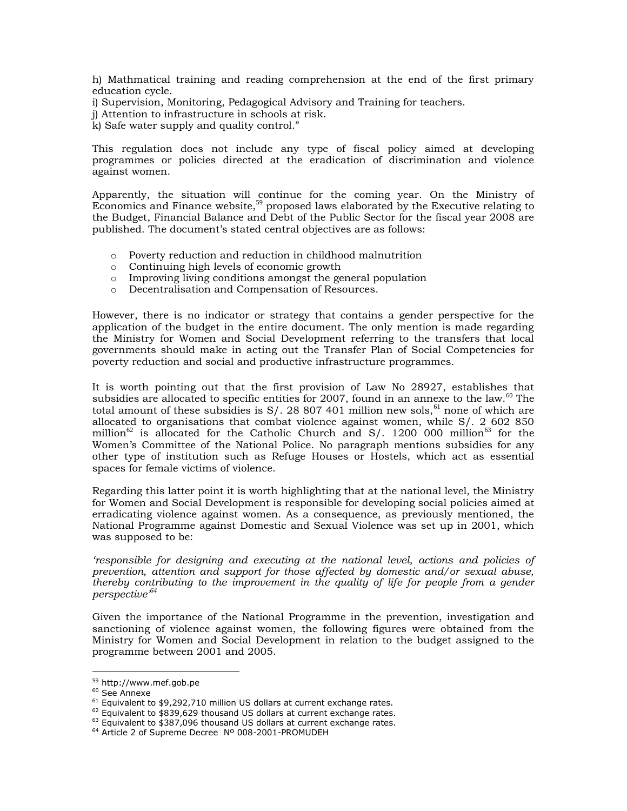h) Mathmatical training and reading comprehension at the end of the first primary education cycle.

i) Supervision, Monitoring, Pedagogical Advisory and Training for teachers.

- j) Attention to infrastructure in schools at risk.
- k) Safe water supply and quality control."

This regulation does not include any type of fiscal policy aimed at developing programmes or policies directed at the eradication of discrimination and violence against women.

Apparently, the situation will continue for the coming year. On the Ministry of  $\vec{E}$  conomics and Finance website,<sup>59</sup> proposed laws elaborated by the Executive relating to the Budget, Financial Balance and Debt of the Public Sector for the fiscal year 2008 are published. The document"s stated central objectives are as follows:

- o Poverty reduction and reduction in childhood malnutrition
- o Continuing high levels of economic growth
- o Improving living conditions amongst the general population
- o Decentralisation and Compensation of Resources.

However, there is no indicator or strategy that contains a gender perspective for the application of the budget in the entire document. The only mention is made regarding the Ministry for Women and Social Development referring to the transfers that local governments should make in acting out the Transfer Plan of Social Competencies for poverty reduction and social and productive infrastructure programmes.

It is worth pointing out that the first provision of Law No 28927, establishes that subsidies are allocated to specific entities for 2007, found in an annexe to the law. $60$  The total amount of these subsidies is  $S/$ . 28 807 401 million new sols,<sup>61</sup> none of which are allocated to organisations that combat violence against women, while S/. 2 602 850 million<sup>62</sup> is allocated for the Catholic Church and S/. 1200 000 million<sup>63</sup> for the Women"s Committee of the National Police. No paragraph mentions subsidies for any other type of institution such as Refuge Houses or Hostels, which act as essential spaces for female victims of violence.

Regarding this latter point it is worth highlighting that at the national level, the Ministry for Women and Social Development is responsible for developing social policies aimed at erradicating violence against women. As a consequence, as previously mentioned, the National Programme against Domestic and Sexual Violence was set up in 2001, which was supposed to be:

*"responsible for designing and executing at the national level, actions and policies of prevention, attention and support for those affected by domestic and/or sexual abuse, thereby contributing to the improvement in the quality of life for people from a gender perspective"<sup>64</sup>*

Given the importance of the National Programme in the prevention, investigation and sanctioning of violence against women, the following figures were obtained from the Ministry for Women and Social Development in relation to the budget assigned to the programme between 2001 and 2005.

<sup>59</sup> http://www.mef.gob.pe

 $60$  See Annexe

 $61$  Equivalent to \$9,292,710 million US dollars at current exchange rates.

 $62$  Equivalent to \$839,629 thousand US dollars at current exchange rates.

 $63$  Equivalent to \$387,096 thousand US dollars at current exchange rates.

<sup>64</sup> Article 2 of Supreme Decree Nº 008-2001-PROMUDEH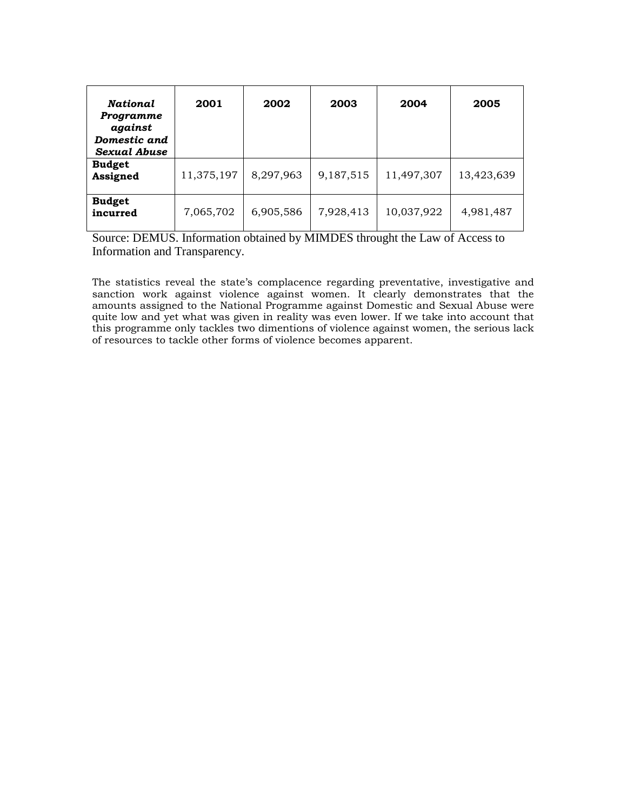| National<br>Programme<br>against<br>Domestic and<br>Sexual Abuse | 2001       | 2002      | 2003      | 2004       | 2005       |
|------------------------------------------------------------------|------------|-----------|-----------|------------|------------|
| <b>Budget</b><br>Assigned                                        | 11,375,197 | 8,297,963 | 9,187,515 | 11,497,307 | 13,423,639 |
| <b>Budget</b><br>incurred                                        | 7,065,702  | 6,905,586 | 7,928,413 | 10,037,922 | 4,981,487  |

Source: DEMUS. Information obtained by MIMDES throught the Law of Access to Information and Transparency.

The statistics reveal the state's complacence regarding preventative, investigative and sanction work against violence against women. It clearly demonstrates that the amounts assigned to the National Programme against Domestic and Sexual Abuse were quite low and yet what was given in reality was even lower. If we take into account that this programme only tackles two dimentions of violence against women, the serious lack of resources to tackle other forms of violence becomes apparent.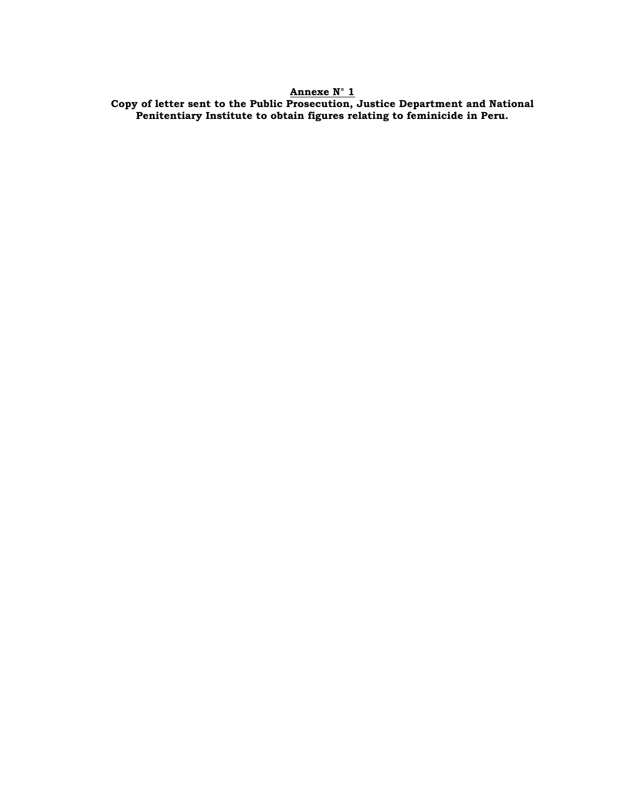# **Annexe N° 1**

**Copy of letter sent to the Public Prosecution, Justice Department and National Penitentiary Institute to obtain figures relating to feminicide in Peru.**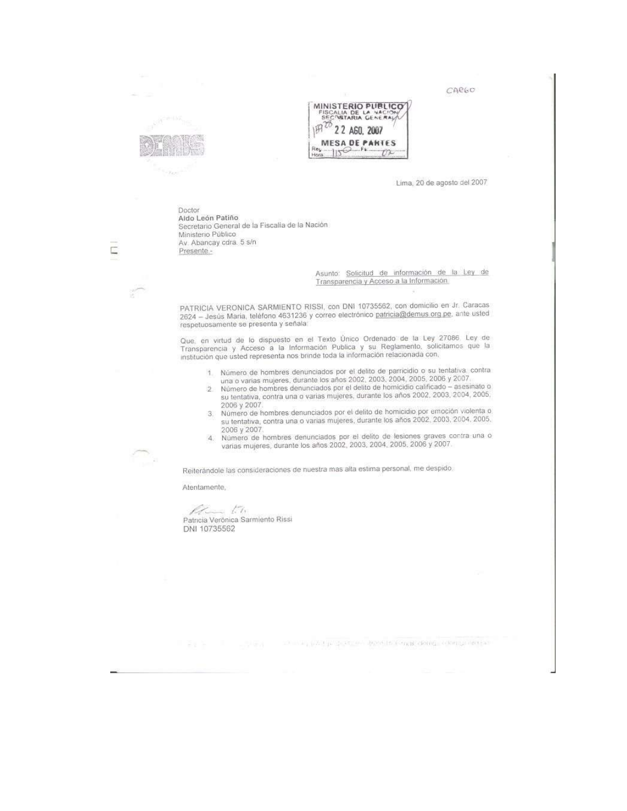CARGO





Lima, 20 de agosto del 2007

Doctor Aldo León Patiño Secretario General de la Fiscalia de la Nación<br>Ministerio Público Av. Abancay cdra. 5 s/n Presente -

> Asunto: Solicitud de información de la Ley de Transparencia y Acceso a la Información

PATRICIA VERONICA SARMIENTO RISSI, con DNI 10735562, con domicilio en Jr. Caracas 2624 - Jesús Maria, teléfono 4631236 y correo electrónico patricia@demus.org pe, ante usted respetuosamente se presenta y señala:

Que, en virtud de lo dispuesto en el Texto Único Ordenado de la Ley 27086. Ley de Transparencia y Acceso a la Información Publica y su Reglamento, solicitamos que la institución que usted representa nos brinde toda la info

- 
- 1. Número de hombres denunciados por el delito de parricidio o su tentativa, contra una o varias mujeres, durante los años 2002, 2003, 2004, 2005, 2006 y 2007.<br>2. Número de hombres denunciados por el delito de homicidio ca 2006 y 2007.
- 3. Número de hombres denunciados por el delito de homicidio por emoción violenta o su tentativa, contra una o varias mujeres, durante los años 2002, 2003, 2004, 2005. 2006 y 2007
- 4. Número de hombres denunciados por el delito de lesiones graves contra una o varias mujeres, durante los años 2002, 2003, 2004, 2005, 2006 y 2007.

Reiterándole las consideraciones de nuestra mas alta estima personal, me despido.

The complete state of the part of the tend deng central completes.

Atentamente,

 $M_{\rm{max}}$  to Patricia Verônica Sarmiento Rissi DNI 10735562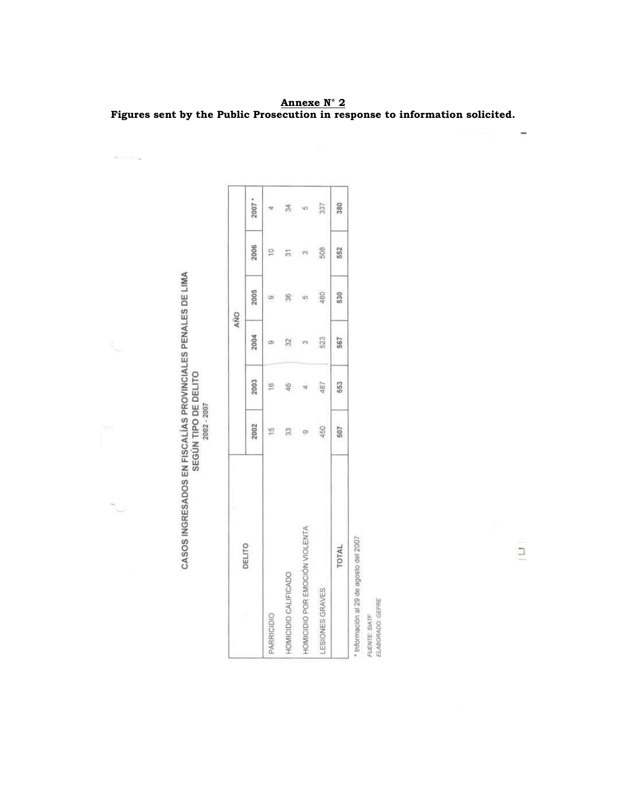**Annexe N° 2 Figures sent by the Public Prosecution in response to information solicited.**

| <b>DEL</b><br>$\frac{5}{2}$<br><b>RENA</b><br>$\overline{\frac{5}{2}}$<br><b>TIBE DELITY</b><br>j<br>2002<br><b>GRESADOS EN FISCALI</b><br><b>FCH</b><br><b>ASOS IN</b> |
|-------------------------------------------------------------------------------------------------------------------------------------------------------------------------|
|-------------------------------------------------------------------------------------------------------------------------------------------------------------------------|

 $\mathcal{P}=\mathcal{P}$  ,  $\mathcal{P}=\mathcal{Q}$ 

| 2006<br>508<br>$\overline{\phantom{0}}$<br>$\overline{\widetilde{\widetilde{\mathcal{C}}}}$<br>$\omega$<br>2005<br>480<br>86 in<br>$\circ$<br>2004<br>523<br>$\frac{1}{2}$<br>O)<br>2003<br>487<br>$\overline{\mathbb{G}}$<br>46<br>$\sqrt{2}$<br>2002<br>450<br>ణ అ<br>$\frac{5}{10}$<br>HOMIGIDIO POR EMOCIÓN VIOLENTA<br>HOMICIDIO CALIFICADO<br>ESIONES GRAVES<br>PARRICIDIO |        |     |     |     | AÑO |     |                  |
|----------------------------------------------------------------------------------------------------------------------------------------------------------------------------------------------------------------------------------------------------------------------------------------------------------------------------------------------------------------------------------|--------|-----|-----|-----|-----|-----|------------------|
|                                                                                                                                                                                                                                                                                                                                                                                  | DELITO |     |     |     |     |     | 2007 *           |
|                                                                                                                                                                                                                                                                                                                                                                                  |        |     |     |     |     |     |                  |
|                                                                                                                                                                                                                                                                                                                                                                                  |        |     |     |     |     |     |                  |
|                                                                                                                                                                                                                                                                                                                                                                                  |        |     |     |     |     |     | $\frac{1}{2}$ to |
|                                                                                                                                                                                                                                                                                                                                                                                  |        |     |     |     |     |     | 337              |
|                                                                                                                                                                                                                                                                                                                                                                                  | TOTAL  | 507 | 553 | 567 | 530 | 552 | 380              |

\* Información al 29 de agosto del 2007<br>FUENTE: SIATF<br>ELABORADO: GEPRE

 $\ensuremath{\mathop{\boxtimes}\limits_{}}$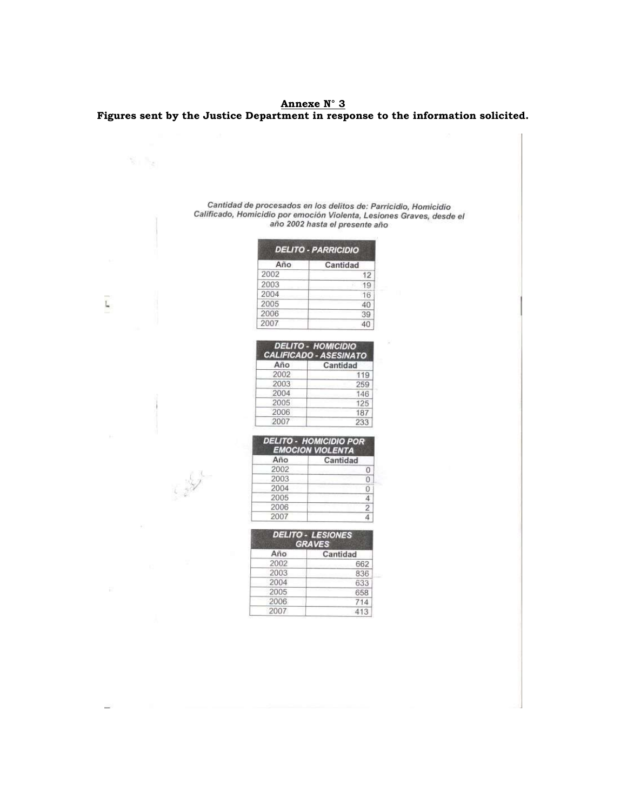**Annexe N° 3 Figures sent by the Justice Department in response to the information solicited.**

# Cantidad de procesados en los delitos de: Parricidio, Homicidio<br>Calificado, Homicidio por emoción Violenta, Lesiones Graves, desde el<br>año 2002 hasta el presente año

|      | <b>DELITO - PARRICIDIO</b> |
|------|----------------------------|
| Año  | Cantidad                   |
| 2002 | 12                         |
| 2003 |                            |
| 2004 | 16                         |
| 2005 | 40                         |
| 2006 | 39                         |
| 2007 |                            |

| Año  | Cantidad |
|------|----------|
| 2002 | 119      |
| 2003 | 259      |
| 2004 | 146      |
| 2005 | 125      |
| 2006 | 187      |
| 2007 | 233      |

|      | <b>DELITO - HOMICIDIO POR</b><br><b>EMOCION VIOLENTA</b> |
|------|----------------------------------------------------------|
| Año  | Cantidad                                                 |
| 2002 |                                                          |
| 2003 |                                                          |
| 2004 |                                                          |
| 2005 |                                                          |
| 2006 |                                                          |
| 2007 |                                                          |

|      | <b>DELITO - LESIONES</b><br><b>GRAVES</b> |
|------|-------------------------------------------|
| Año  | Cantidad                                  |
| 2002 | 662                                       |
| 2003 | 836                                       |
| 2004 | 633                                       |
| 2005 | 658                                       |
| 2006 |                                           |
| 2007 | 413                                       |

Ĺ

6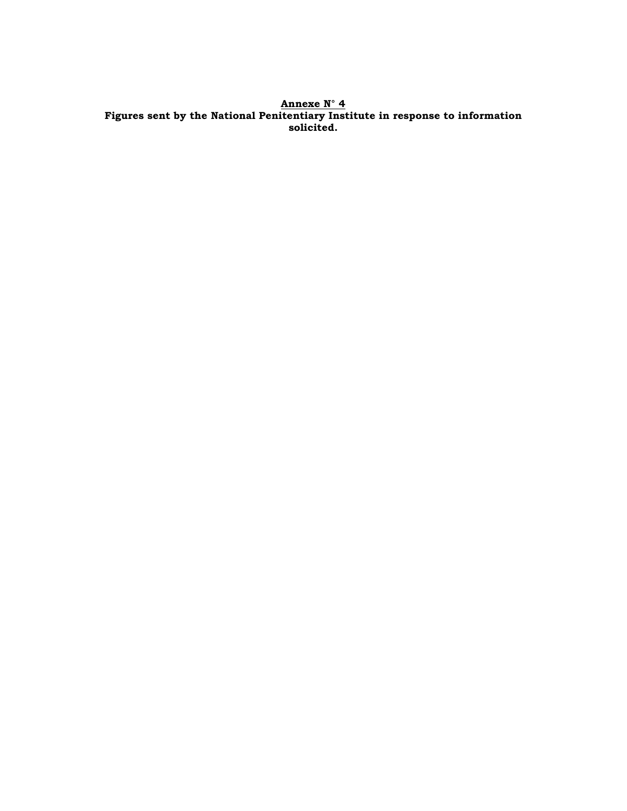**Annexe N° 4 Figures sent by the National Penitentiary Institute in response to information solicited.**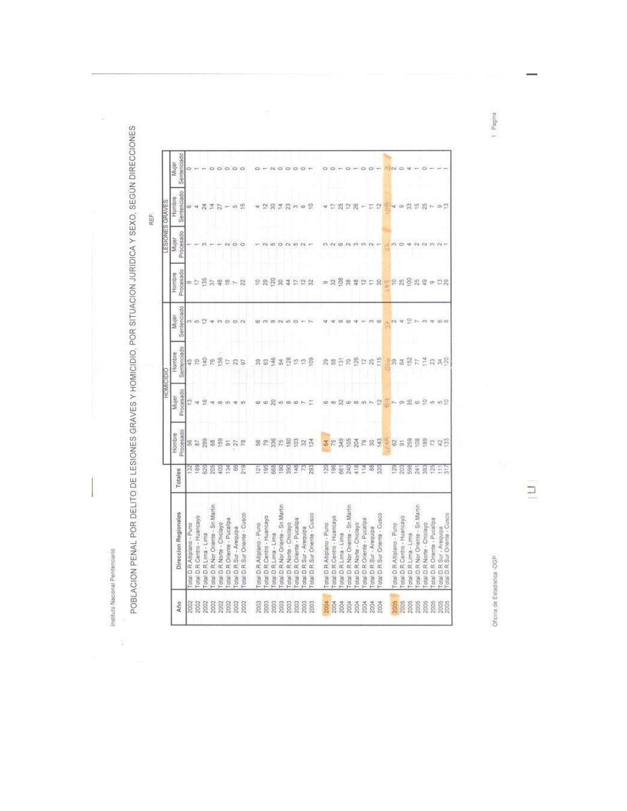í

I

Instituto Nacional Penforciano<br>POBLACION PENAL POR DELITO DE LESIONES GRAVES Y HOMICIDIO, POR SITUACION JURIDICA Y SEXO, SEGÚN DIRECCIONES

REF.

 $\mu$ 

|      |                                                             |                      |                     |                         | HOMICIDIC                       |                      |                                                     |                    | ESIONES GRAVES           |                      |
|------|-------------------------------------------------------------|----------------------|---------------------|-------------------------|---------------------------------|----------------------|-----------------------------------------------------|--------------------|--------------------------|----------------------|
| Año  | Direccion Regionales                                        | Totales              | Procesado<br>Hombre | Procesado<br>Mujer      | Sentenciado<br>Hombre           | Sentenciado<br>Mujer | Procesado<br>Hombre                                 | Procesado<br>Mujer | Sentenciado<br>Hombre    | Sentenciado<br>Mujer |
| 2002 | otal D R Altiplano - Puno                                   |                      |                     |                         |                                 |                      |                                                     |                    |                          |                      |
| 2002 | otal D.R.Centro - Huancayo                                  | 53 S                 |                     | Ħ                       |                                 | es us                | $\alpha$ $\sim$                                     |                    |                          |                      |
| 2002 | Total D.R.Lima - Lima                                       |                      | 858855578           | e                       | 特別協力協力設計                        |                      |                                                     |                    | $\frac{3}{24}$           |                      |
| 2002 | otal D.R. Nor Oriente - Sn Martin                           | 526<br>285           |                     | ÷                       |                                 | ÷                    |                                                     |                    | 竺                        |                      |
| 2002 | otal D.R. Norte - Chiclayo                                  | 8                    |                     | - 60                    |                                 | m                    |                                                     |                    | $\overline{z}$           |                      |
| 2002 | otal D R Oriente - Pucallpa                                 | $\frac{3}{4}$        |                     |                         |                                 | $\circ$              |                                                     |                    |                          |                      |
| 2002 | otal D.R.Sur - Arequipa                                     | 8                    |                     |                         |                                 | ⇨                    | $3549 - 2$                                          | $\circ$            | 四边                       |                      |
| 2002 | otal D.R.Sur Oriente - Cusco                                | 219                  |                     |                         |                                 |                      |                                                     | O                  |                          |                      |
| 2003 | otal D.R.Altiplano - Puno                                   | $\tilde{\mathbb{N}}$ |                     |                         |                                 |                      |                                                     |                    |                          |                      |
| 2003 | Total D.R.Centro - Huancayo                                 | $\frac{85}{25}$      |                     |                         |                                 |                      |                                                     |                    |                          |                      |
| 2003 | otal D R Lima - Lima                                        | 568                  | 8 2 3 2 3 3 3 4     | 10 10 12 10 10 10 12 12 | 884                             |                      | e g g g g t e g g                                   | 45                 | 记羽似羽子目忆                  |                      |
| 2003 | otal D.R.Nor Oriente - Sn.Martin                            | 8                    |                     |                         | B5                              |                      |                                                     | $\circ$            |                          |                      |
| 2003 | otal D.R.Norte - Chiclayo                                   | 88                   |                     |                         | 2528                            |                      |                                                     | 10V                |                          |                      |
| 2003 | otal D.R. Oriente - Pucalipa                                | 148                  |                     |                         |                                 |                      |                                                     | . un               |                          |                      |
| 2003 | otal D.R.Sur - Arequipa                                     | 53                   |                     |                         |                                 |                      |                                                     | 54                 |                          |                      |
| 2003 | Total D.R Sur Oriente - Cusco                               | 293                  |                     |                         |                                 |                      |                                                     |                    |                          |                      |
| 2004 | otal D.R.Altiplano - Puno                                   | 20                   | 3                   |                         |                                 |                      |                                                     |                    |                          |                      |
| 2004 | otal D.R.Centro - Huancayo                                  | SG <sub>1</sub>      |                     |                         |                                 |                      |                                                     |                    |                          |                      |
| 2004 | otal D.R.Lima - Lima                                        | $\frac{1}{25}$       |                     |                         |                                 |                      |                                                     |                    | 25, 22                   |                      |
| 2004 | otal D R Nor Oriente - Sri Martin                           | 240                  |                     |                         |                                 |                      |                                                     |                    |                          |                      |
| 2004 | otal D.R.Norte - Chiclayo                                   | t 18                 | <b>KABARAT</b>      | 0 0 0 0 0 0 0 0         | <b>RESPERS</b>                  |                      |                                                     |                    | $\mathbb{R}$             |                      |
| 2004 | R Oriente - Pucalipa<br>Total D.                            | 졷                    |                     |                         |                                 |                      |                                                     |                    | $\overline{\phantom{a}}$ |                      |
| 2004 | otal D.R.Sur - Arequipa                                     | 2                    |                     |                         |                                 |                      |                                                     |                    | π                        |                      |
| 2004 | Total D.R Sur Oriente - Cusco                               | 520                  |                     |                         | 115                             | Φ                    |                                                     |                    | $\frac{1}{2}$            |                      |
|      |                                                             |                      | 잎                   |                         |                                 |                      |                                                     |                    |                          |                      |
| 1005 | otal D.R.Altiplano - Puno                                   | 29                   |                     |                         | 33                              |                      |                                                     |                    | ۱đ                       |                      |
| 2005 | otal D.R.Centro - Huancayo                                  | g                    |                     |                         |                                 |                      |                                                     |                    | $\sigma$                 |                      |
| 2005 | R.Lima - Lima<br>otal D.                                    | 598                  |                     |                         | <b>登片</b>                       |                      |                                                     |                    | 噐                        |                      |
| 2005 | R Nor Oriente - Sn Martin<br>otal D.                        | š4                   |                     |                         |                                 |                      |                                                     |                    | $= 8$                    |                      |
| 2005 | Total D.R Norte - Chiclayo                                  | 8                    |                     |                         |                                 |                      |                                                     |                    |                          |                      |
| 2005 | R Oriente - Pucallpa<br>otal D.                             | (25)                 |                     |                         |                                 |                      |                                                     |                    | 16                       |                      |
| 2005 | Total D.R. Sur - Arequipe<br>Total D.R. Sur Oriente - Cusco |                      | 85858248            | $20 - 0.8002002$        | $\frac{3}{4}$ 3 3 $\frac{2}{3}$ | 05.00                | 0 % 8 % % \$ \$ \$ \$ \$ \$ \$ \$ \$ \$ \$ \$ \$ \$ |                    | $O(\frac{1}{n})$         |                      |
|      |                                                             |                      |                     |                         |                                 |                      |                                                     |                    |                          |                      |

Oficina de Estadistica -OGP

 $\equiv$ 

sniped 1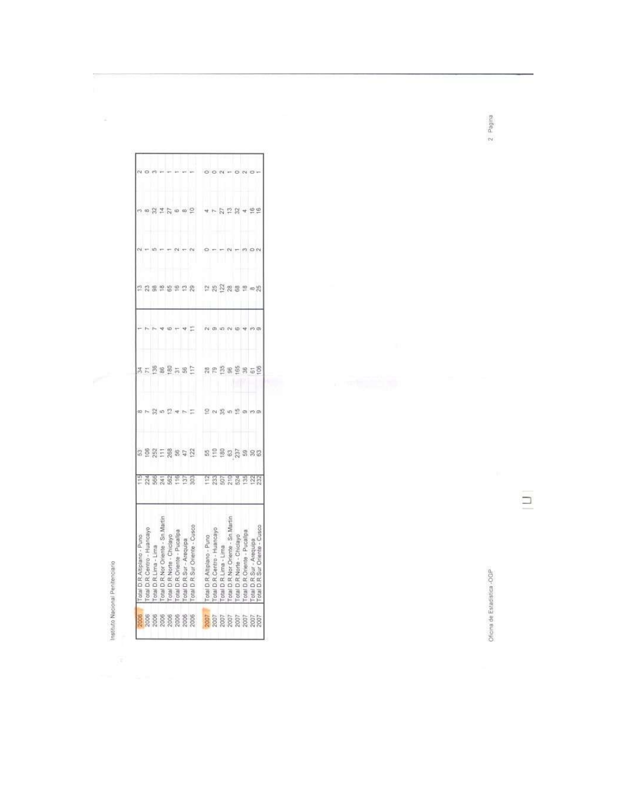Instituto Nacional Penitenciario

l,

 $\sim$ 

|                                        | a is humo<br><b>OLBI D.K.AIDIBNO</b>                                         |                  |                     |               |          |    |                               |                           |  |
|----------------------------------------|------------------------------------------------------------------------------|------------------|---------------------|---------------|----------|----|-------------------------------|---------------------------|--|
| <mark>3</mark> ខេត្ត ខេត្ត ខេត្ត ខេត្ត | <b>Fotal D.R. Centro - Huancayo</b>                                          |                  |                     | $\sigma$      |          |    |                               | a sa                      |  |
|                                        | Total D.R.Lima - Lima                                                        |                  |                     |               |          |    |                               |                           |  |
|                                        | Total D.R. Nor Oriente - Sn. Martin                                          |                  |                     | 別めに           |          |    |                               |                           |  |
|                                        | Total D R Norte - Chiclayo                                                   |                  |                     |               |          |    |                               | $\frac{1}{4}$ % $\approx$ |  |
|                                        | Total D.R.Oriente - Pucallpa                                                 |                  |                     |               |          |    |                               |                           |  |
|                                        | Total D.R.Sur - Arequipa                                                     |                  |                     |               |          |    |                               |                           |  |
|                                        | Total D.R.Sur Oriente - Cuson                                                | <b>Assagebe</b>  | <b>BERERSSE</b>     |               | 35882582 |    | 2 2 3 2 3 2 3 2 3 2 3 3 3 3 3 | $\omega$ $\approx$        |  |
|                                        | ▼  Total D. R. Altiplano - Puno<br> Total D. R. Centro - Huancavo            | <b>PRECESSED</b> | $B = B B B$ $B B B$ |               | 88583858 |    |                               |                           |  |
|                                        |                                                                              |                  |                     |               |          |    |                               |                           |  |
|                                        | Total D.R.Lima - Lima                                                        |                  |                     | <b>いったちがい</b> |          |    |                               |                           |  |
|                                        | Total D.R. Nor Oriente - Sn. Martin                                          |                  |                     |               |          |    |                               |                           |  |
|                                        | Total D.R. Norte - Chiclayo                                                  |                  |                     |               |          |    |                               |                           |  |
|                                        | Total D R Onente - Pucalipa                                                  |                  |                     |               |          |    |                               |                           |  |
|                                        |                                                                              |                  |                     |               |          |    | 40 紀                          | $\frac{\omega}{2}$        |  |
|                                        | Sur Oriente - Cusco<br>Total D.R.Sur - Arequips<br>Total D.R.Sur Oriente - C |                  |                     |               |          | g, |                               |                           |  |

Oficina de Estadística -OGP

 $\Box$ 

 $2$  Pagina